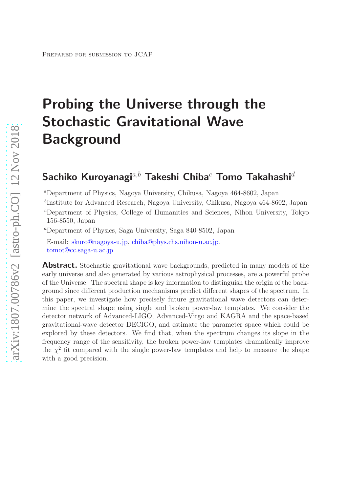# Probing the Universe through the Stochastic Gravitational Wave **Background**

# Sachiko Kuroyanagi<sup>a,b</sup> Takeshi Chiba<sup>c</sup> Tomo Takahashi<sup>d</sup>

<sup>a</sup>Department of Physics, Nagoya University, Chikusa, Nagoya 464-8602, Japan

b Institute for Advanced Research, Nagoya University, Chikusa, Nagoya 464-8602, Japan

<sup>c</sup>Department of Physics, College of Humanities and Sciences, Nihon University, Tokyo 156-8550, Japan

<sup>d</sup>Department of Physics, Saga University, Saga 840-8502, Japan

E-mail: [skuro@nagoya-u.jp,](mailto:skuro@nagoya-u.jp) [chiba@phys.chs.nihon-u.ac.jp,](mailto:chiba@phys.chs.nihon-u.ac.jp) [tomot@cc.saga-u.ac.jp](mailto:tomot@cc.saga-u.ac.jp)

**Abstract.** Stochastic gravitational wave backgrounds, predicted in many models of the early universe and also generated by various astrophysical processes, are a powerful probe of the Universe. The spectral shape is key information to distinguish the origin of the background since different production mechanisms predict different shapes of the spectrum. In this paper, we investigate how precisely future gravitational wave detectors can determine the spectral shape using single and broken power-law templates. We consider the detector network of Advanced-LIGO, Advanced-Virgo and KAGRA and the space-based gravitational-wave detector DECIGO, and estimate the parameter space which could be explored by these detectors. We find that, when the spectrum changes its slope in the frequency range of the sensitivity, the broken power-law templates dramatically improve the  $\chi^2$  fit compared with the single power-law templates and help to measure the shape with a good precision.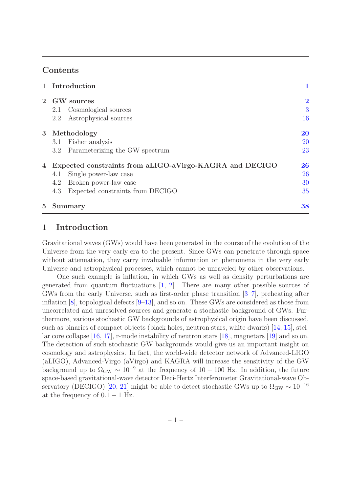# Contents

|                | 1 Introduction                                          |                |  |  |  |
|----------------|---------------------------------------------------------|----------------|--|--|--|
|                | 2 GW sources                                            | $\overline{2}$ |  |  |  |
|                | Cosmological sources<br>2.1                             | 3              |  |  |  |
|                | Astrophysical sources<br>2.2                            | 16             |  |  |  |
| 3 <sup>1</sup> | Methodology                                             | <b>20</b>      |  |  |  |
|                | Fisher analysis<br>3.1                                  | <b>20</b>      |  |  |  |
|                | Parameterizing the GW spectrum<br>3.2                   | 23             |  |  |  |
| 4              | Expected constraints from aLIGO-aVirgo-KAGRA and DECIGO |                |  |  |  |
|                | Single power-law case<br>4.1                            | 26             |  |  |  |
|                | Broken power-law case<br>4.2                            | 30             |  |  |  |
|                | Expected constraints from DECIGO<br>4.3                 | 35             |  |  |  |
| $5^{\circ}$    | Summary                                                 | 38             |  |  |  |

# <span id="page-1-0"></span>1 Introduction

Gravitational waves (GWs) would have been generated in the course of the evolution of the Universe from the very early era to the present. Since GWs can penetrate through space without attenuation, they carry invaluable information on phenomena in the very early Universe and astrophysical processes, which cannot be unraveled by other observations.

One such example is inflation, in which GWs as well as density perturbations are generated from quantum fluctuations [\[1,](#page-42-0) [2\]](#page-42-1). There are many other possible sources of GWs from the early Universe, such as first-order phase transition [\[3](#page-42-2)[–7\]](#page-42-3), preheating after inflation [\[8](#page-42-4)], topological defects [\[9](#page-42-5)[–13](#page-42-6)], and so on. These GWs are considered as those from uncorrelated and unresolved sources and generate a stochastic background of GWs. Furthermore, various stochastic GW backgrounds of astrophysical origin have been discussed, such as binaries of compact objects (black holes, neutron stars, white dwarfs) [\[14,](#page-42-7) [15](#page-42-8)], stellar core collapse [\[16,](#page-42-9) [17\]](#page-42-10), r-mode instability of neutron stars [\[18](#page-42-11)], magnetars [\[19\]](#page-42-12) and so on. The detection of such stochastic GW backgrounds would give us an important insight on cosmology and astrophysics. In fact, the world-wide detector network of Advanced-LIGO (aLIGO), Advanced-Virgo (aVirgo) and KAGRA will increase the sensitivity of the GW background up to  $\Omega_{\rm GW} \sim 10^{-9}$  at the frequency of 10 – 100 Hz. In addition, the future space-based gravitational-wave detector Deci-Hertz Interferometer Gravitational-wave Ob-servatory (DECIGO) [\[20](#page-42-13), [21\]](#page-42-14) might be able to detect stochastic GWs up to  $\Omega_{\rm GW} \sim 10^{-16}$ at the frequency of  $0.1 - 1$  Hz.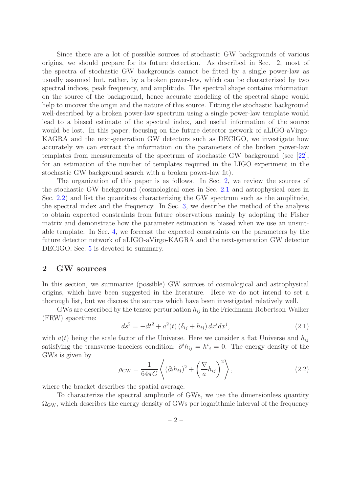Since there are a lot of possible sources of stochastic GW backgrounds of various origins, we should prepare for its future detection. As described in Sec. 2, most of the spectra of stochastic GW backgrounds cannot be fitted by a single power-law as usually assumed but, rather, by a broken power-law, which can be characterized by two spectral indices, peak frequency, and amplitude. The spectral shape contains information on the source of the background, hence accurate modeling of the spectral shape would help to uncover the origin and the nature of this source. Fitting the stochastic background well-described by a broken power-law spectrum using a single power-law template would lead to a biased estimate of the spectral index, and useful information of the source would be lost. In this paper, focusing on the future detector network of aLIGO-aVirgo-KAGRA and the next-generation GW detectors such as DECIGO, we investigate how accurately we can extract the information on the parameters of the broken power-law templates from measurements of the spectrum of stochastic GW background (see [\[22\]](#page-42-15), for an estimation of the number of templates required in the LIGO experiment in the stochastic GW background search with a broken power-law fit).

The organization of this paper is as follows. In Sec. [2,](#page-2-0) we review the sources of the stochastic GW background (cosmological ones in Sec. [2.1](#page-3-0) and astrophysical ones in Sec. [2.2\)](#page-16-0) and list the quantities characterizing the GW spectrum such as the amplitude, the spectral index and the frequency. In Sec. [3,](#page-20-0) we describe the method of the analysis to obtain expected constraints from future observations mainly by adopting the Fisher matrix and demonstrate how the parameter estimation is biased when we use an unsuitable template. In Sec. [4,](#page-26-0) we forecast the expected constraints on the parameters by the future detector network of aLIGO-aVirgo-KAGRA and the next-generation GW detector DECIGO. Sec. [5](#page-38-0) is devoted to summary.

# <span id="page-2-0"></span>2 GW sources

In this section, we summarize (possible) GW sources of cosmological and astrophysical origins, which have been suggested in the literature. Here we do not intend to set a thorough list, but we discuss the sources which have been investigated relatively well.

GWs are described by the tensor perturbation  $h_{ij}$  in the Friedmann-Robertson-Walker (FRW) spacetime:

$$
ds^{2} = -dt^{2} + a^{2}(t) \left(\delta_{ij} + h_{ij}\right) dx^{i} dx^{j}, \qquad (2.1)
$$

with  $a(t)$  being the scale factor of the Universe. Here we consider a flat Universe and  $h_{ij}$ satisfying the transverse-traceless condition:  $\partial^i h_{ij} = h^i_{;i} = 0$ . The energy density of the GWs is given by

$$
\rho_{\rm GW} = \frac{1}{64\pi G} \left\langle (\partial_t h_{ij})^2 + \left(\frac{\nabla}{a} h_{ij}\right)^2 \right\rangle, \tag{2.2}
$$

where the bracket describes the spatial average.

To characterize the spectral amplitude of GWs, we use the dimensionless quantity  $\Omega_{\rm GW}$ , which describes the energy density of GWs per logarithmic interval of the frequency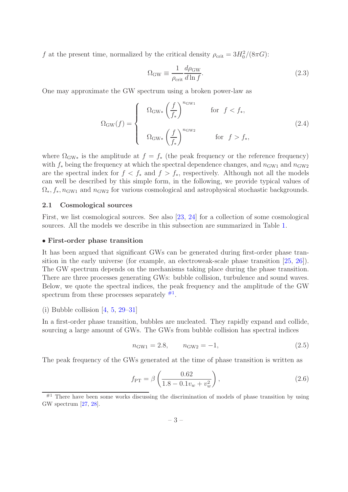f at the present time, normalized by the critical density  $\rho_{\rm crit} = 3H_0^2/(8\pi G)$ :

$$
\Omega_{\rm GW} \equiv \frac{1}{\rho_{\rm crit}} \frac{d\rho_{\rm GW}}{d\ln f}.
$$
\n(2.3)

One may approximate the GW spectrum using a broken power-law as

<span id="page-3-2"></span>
$$
\Omega_{\rm GW}(f) = \begin{cases} \Omega_{\rm GW*} \left(\frac{f}{f_*}\right)^{n_{\rm GW1}} & \text{for } f < f_*,\\ \Omega_{\rm GW*} \left(\frac{f}{f_*}\right)^{n_{\rm GW2}} & \text{for } f > f_*, \end{cases}
$$
 (2.4)

where  $\Omega_{\rm GW*}$  is the amplitude at  $f = f_*$  (the peak frequency or the reference frequency) with  $f_*$  being the frequency at which the spectral dependence changes, and  $n_{\text{GW1}}$  and  $n_{\text{GW2}}$ are the spectral index for  $f < f_*$  and  $f > f_*$ , respectively. Although not all the models can well be described by this simple form, in the following, we provide typical values of  $\Omega_*, f_*, n_{\text{GW1}}$  and  $n_{\text{GW2}}$  for various cosmological and astrophysical stochastic backgrounds.

#### <span id="page-3-0"></span>2.1 Cosmological sources

First, we list cosmological sources. See also [\[23,](#page-43-0) [24\]](#page-43-1) for a collection of some cosmological sources. All the models we describe in this subsection are summarized in Table [1.](#page-15-0)

#### • First-order phase transition

It has been argued that significant GWs can be generated during first-order phase transition in the early universe (for example, an electroweak-scale phase transition [\[25,](#page-43-2) [26](#page-43-3)]). The GW spectrum depends on the mechanisms taking place during the phase transition. There are three processes generating GWs: bubble collision, turbulence and sound waves. Below, we quote the spectral indices, the peak frequency and the amplitude of the GW spectrum from these processes separately  $#1$ .

(i) Bubble collision  $[4, 5, 29-31]$  $[4, 5, 29-31]$  $[4, 5, 29-31]$  $[4, 5, 29-31]$  $[4, 5, 29-31]$ 

In a first-order phase transition, bubbles are nucleated. They rapidly expand and collide, sourcing a large amount of GWs. The GWs from bubble collision has spectral indices

$$
n_{\text{GW1}} = 2.8, \qquad n_{\text{GW2}} = -1,\tag{2.5}
$$

The peak frequency of the GWs generated at the time of phase transition is written as

$$
f_{\rm PT} = \beta \left( \frac{0.62}{1.8 - 0.1 v_w + v_w^2} \right),\tag{2.6}
$$

<span id="page-3-1"></span> $^{#1}$  There have been some works discussing the discrimination of models of phase transition by using GW spectrum [\[27,](#page-43-6) [28\]](#page-43-7).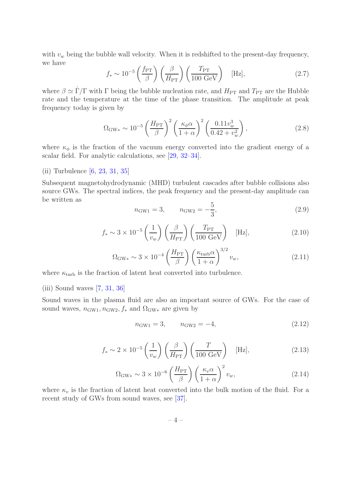with  $v_w$  being the bubble wall velocity. When it is redshifted to the present-day frequency, we have

$$
f_* \sim 10^{-5} \left(\frac{f_{\rm PT}}{\beta}\right) \left(\frac{\beta}{H_{\rm PT}}\right) \left(\frac{T_{\rm PT}}{100 \text{ GeV}}\right) \quad [\text{Hz}],\tag{2.7}
$$

where  $\beta \simeq \dot{\Gamma}/\Gamma$  with  $\Gamma$  being the bubble nucleation rate, and  $H_{\rm PT}$  and  $T_{\rm PT}$  are the Hubble rate and the temperature at the time of the phase transition. The amplitude at peak frequency today is given by

$$
\Omega_{\rm GW*} \sim 10^{-5} \left(\frac{H_{\rm PT}}{\beta}\right)^2 \left(\frac{\kappa_{\phi}\alpha}{1+\alpha}\right)^2 \left(\frac{0.11v_w^3}{0.42+v_w^2}\right),\tag{2.8}
$$

where  $\kappa_{\phi}$  is the fraction of the vacuum energy converted into the gradient energy of a scalar field. For analytic calculations, see [\[29,](#page-43-4) [32](#page-43-8)[–34](#page-43-9)].

#### (ii) Turbulence [\[6](#page-42-18), [23](#page-43-0), [31](#page-43-5), [35](#page-43-10)]

Subsequent magnetohydrodynamic (MHD) turbulent cascades after bubble collisions also source GWs. The spectral indices, the peak frequency and the present-day amplitude can be written as

$$
n_{\text{GW1}} = 3, \qquad n_{\text{GW2}} = -\frac{5}{3}, \tag{2.9}
$$

$$
f_* \sim 3 \times 10^{-5} \left(\frac{1}{v_w}\right) \left(\frac{\beta}{H_{\rm PT}}\right) \left(\frac{T_{\rm PT}}{100 \text{ GeV}}\right) \quad [\text{Hz}],\tag{2.10}
$$

$$
\Omega_{\rm GW*} \sim 3 \times 10^{-4} \left(\frac{H_{\rm PT}}{\beta}\right) \left(\frac{\kappa_{\rm turb}\alpha}{1+\alpha}\right)^{3/2} v_w, \tag{2.11}
$$

where  $\kappa_{\text{turb}}$  is the fraction of latent heat converted into turbulence.

(iii) Sound waves [\[7,](#page-42-3) [31,](#page-43-5) [36\]](#page-43-11)

Sound waves in the plasma fluid are also an important source of GWs. For the case of sound waves,  $n_{\text{GW1}}$ ,  $n_{\text{GW2}}$ ,  $f_*$  and  $\Omega_{\text{GW}*}$  are given by

$$
n_{\text{GW1}} = 3, \qquad n_{\text{GW2}} = -4, \tag{2.12}
$$

$$
f_* \sim 2 \times 10^{-5} \left(\frac{1}{v_w}\right) \left(\frac{\beta}{H_{\rm PT}}\right) \left(\frac{T}{100 \text{ GeV}}\right) \quad [\text{Hz}],\tag{2.13}
$$

$$
\Omega_{\rm GW*} \sim 3 \times 10^{-6} \left(\frac{H_{\rm PT}}{\beta}\right) \left(\frac{\kappa_v \alpha}{1+\alpha}\right)^2 v_w, \tag{2.14}
$$

where  $\kappa_v$  is the fraction of latent heat converted into the bulk motion of the fluid. For a recent study of GWs from sound waves, see [\[37](#page-43-12)].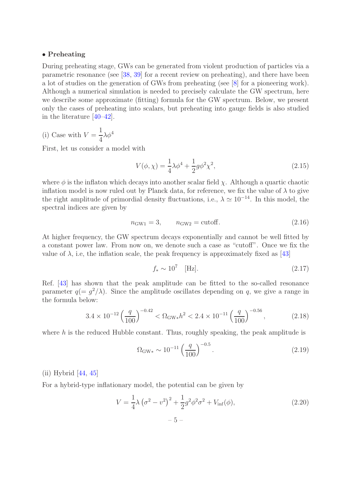#### • Preheating

During preheating stage, GWs can be generated from violent production of particles via a parametric resonance (see [\[38,](#page-43-13) [39](#page-43-14)] for a recent review on preheating), and there have been a lot of studies on the generation of GWs from preheating (see [\[8](#page-42-4)] for a pioneering work). Although a numerical simulation is needed to precisely calculate the GW spectrum, here we describe some approximate (fitting) formula for the GW spectrum. Below, we present only the cases of preheating into scalars, but preheating into gauge fields is also studied in the literature [\[40](#page-43-15)[–42\]](#page-43-16).

 $(i)$  Case with  $V =$ 1 4  $\lambda \phi^4$ 

First, let us consider a model with

$$
V(\phi, \chi) = \frac{1}{4}\lambda\phi^4 + \frac{1}{2}g\phi^2\chi^2,
$$
\n(2.15)

where  $\phi$  is the inflaton which decays into another scalar field  $\chi$ . Although a quartic chaotic inflation model is now ruled out by Planck data, for reference, we fix the value of  $\lambda$  to give the right amplitude of primordial density fluctuations, i.e.,  $\lambda \simeq 10^{-14}$ . In this model, the spectral indices are given by

$$
n_{\text{GW1}} = 3, \qquad n_{\text{GW2}} = \text{cutoff.} \tag{2.16}
$$

At higher frequency, the GW spectrum decays exponentially and cannot be well fitted by a constant power law. From now on, we denote such a case as "cutoff". Once we fix the value of  $\lambda$ , i.e, the inflation scale, the peak frequency is approximately fixed as [\[43\]](#page-43-17)

$$
f_* \sim 10^7 \quad [\text{Hz}]. \tag{2.17}
$$

Ref. [\[43](#page-43-17)] has shown that the peak amplitude can be fitted to the so-called resonance parameter  $q = g^2/\lambda$ . Since the amplitude oscillates depending on q, we give a range in the formula below:

$$
3.4 \times 10^{-12} \left(\frac{q}{100}\right)^{-0.42} < \Omega_{\text{GW}*} h^2 < 2.4 \times 10^{-11} \left(\frac{q}{100}\right)^{-0.56},\tag{2.18}
$$

where  $h$  is the reduced Hubble constant. Thus, roughly speaking, the peak amplitude is

$$
\Omega_{\rm GW*} \sim 10^{-11} \left(\frac{q}{100}\right)^{-0.5}.\tag{2.19}
$$

(ii) Hybrid [\[44](#page-43-18), [45](#page-44-0)]

For a hybrid-type inflationary model, the potential can be given by

$$
V = \frac{1}{4}\lambda (\sigma^2 - v^2)^2 + \frac{1}{2}g^2\phi^2\sigma^2 + V_{\text{inf}}(\phi),
$$
 (2.20)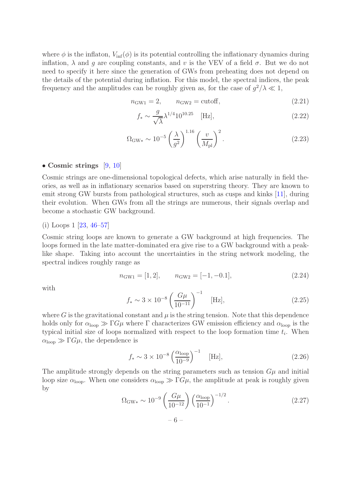where  $\phi$  is the inflaton,  $V_{\text{inf}}(\phi)$  is its potential controlling the inflationary dynamics during inflation,  $\lambda$  and g are coupling constants, and v is the VEV of a field  $\sigma$ . But we do not need to specify it here since the generation of GWs from preheating does not depend on the details of the potential during inflation. For this model, the spectral indices, the peak frequency and the amplitudes can be roughly given as, for the case of  $g^2/\lambda \ll 1$ ,

$$
n_{\text{GW1}} = 2, \qquad n_{\text{GW2}} = \text{cutoff}, \tag{2.21}
$$

$$
f_* \sim \frac{g}{\sqrt{\lambda}} \lambda^{1/4} 10^{10.25} \quad [\text{Hz}], \tag{2.22}
$$

$$
\Omega_{\rm GW*} \sim 10^{-5} \left(\frac{\lambda}{g^2}\right)^{1.16} \left(\frac{v}{M_{\rm pl}}\right)^2.
$$
 (2.23)

#### • Cosmic strings  $[9, 10]$  $[9, 10]$  $[9, 10]$

Cosmic strings are one-dimensional topological defects, which arise naturally in field theories, as well as in inflationary scenarios based on superstring theory. They are known to emit strong GW bursts from pathological structures, such as cusps and kinks [\[11\]](#page-42-20), during their evolution. When GWs from all the strings are numerous, their signals overlap and become a stochastic GW background.

#### (i) Loops 1 [\[23](#page-43-0), [46](#page-44-1)[–57\]](#page-44-2)

Cosmic string loops are known to generate a GW background at high frequencies. The loops formed in the late matter-dominated era give rise to a GW background with a peaklike shape. Taking into account the uncertainties in the string network modeling, the spectral indices roughly range as

$$
n_{\text{GW1}} = [1, 2], \qquad n_{\text{GW2}} = [-1, -0.1], \tag{2.24}
$$

with

$$
f_* \sim 3 \times 10^{-8} \left(\frac{G\mu}{10^{-11}}\right)^{-1}
$$
 [Hz], (2.25)

where G is the gravitational constant and  $\mu$  is the string tension. Note that this dependence holds only for  $\alpha_{\text{loop}} \gg \Gamma G \mu$  where  $\Gamma$  characterizes GW emission efficiency and  $\alpha_{\text{loop}}$  is the typical initial size of loops normalized with respect to the loop formation time  $t_i$ . When  $\alpha_{\text{loop}} \gg \Gamma G \mu$ , the dependence is

$$
f_* \sim 3 \times 10^{-8} \left(\frac{\alpha_{\text{loop}}}{10^{-9}}\right)^{-1}
$$
 [Hz], (2.26)

The amplitude strongly depends on the string parameters such as tension  $G\mu$  and initial loop size  $\alpha_{\text{loop}}$ . When one considers  $\alpha_{\text{loop}} \gg \Gamma G \mu$ , the amplitude at peak is roughly given by

$$
\Omega_{\rm GW*} \sim 10^{-9} \left( \frac{G\mu}{10^{-12}} \right) \left( \frac{\alpha_{\rm loop}}{10^{-1}} \right)^{-1/2} . \tag{2.27}
$$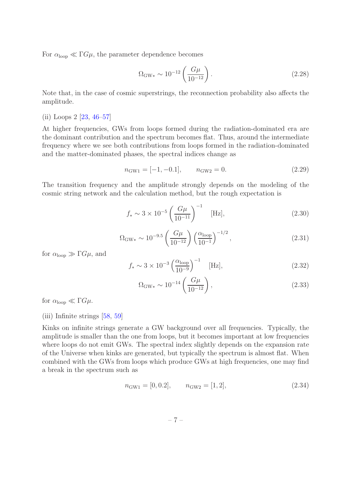For  $\alpha_{\text{loop}} \ll \Gamma G \mu$ , the parameter dependence becomes

$$
\Omega_{\rm GW*} \sim 10^{-12} \left( \frac{G\mu}{10^{-12}} \right). \tag{2.28}
$$

Note that, in the case of cosmic superstrings, the reconnection probability also affects the amplitude.

#### (ii) Loops 2 [\[23,](#page-43-0) [46](#page-44-1)[–57\]](#page-44-2)

At higher frequencies, GWs from loops formed during the radiation-dominated era are the dominant contribution and the spectrum becomes flat. Thus, around the intermediate frequency where we see both contributions from loops formed in the radiation-dominated and the matter-dominated phases, the spectral indices change as

$$
n_{\text{GW1}} = [-1, -0.1], \qquad n_{\text{GW2}} = 0. \tag{2.29}
$$

The transition frequency and the amplitude strongly depends on the modeling of the cosmic string network and the calculation method, but the rough expectation is

$$
f_* \sim 3 \times 10^{-5} \left(\frac{G\mu}{10^{-11}}\right)^{-1}
$$
 [Hz], (2.30)

$$
\Omega_{\rm GW*} \sim 10^{-9.5} \left( \frac{G\mu}{10^{-12}} \right) \left( \frac{\alpha_{\rm loop}}{10^{-1}} \right)^{-1/2}, \tag{2.31}
$$

for  $\alpha_{\text{loop}} \gg \Gamma G \mu$ , and

$$
f_* \sim 3 \times 10^{-3} \left(\frac{\alpha_{\text{loop}}}{10^{-9}}\right)^{-1}
$$
 [Hz], (2.32)

$$
\Omega_{\rm GW*} \sim 10^{-14} \left( \frac{G\mu}{10^{-12}} \right), \tag{2.33}
$$

for  $\alpha_{\text{loop}} \ll \Gamma G \mu$ .

#### (iii) Infinite strings [\[58](#page-44-3), [59](#page-44-4)]

Kinks on infinite strings generate a GW background over all frequencies. Typically, the amplitude is smaller than the one from loops, but it becomes important at low frequencies where loops do not emit GWs. The spectral index slightly depends on the expansion rate of the Universe when kinks are generated, but typically the spectrum is almost flat. When combined with the GWs from loops which produce GWs at high frequencies, one may find a break in the spectrum such as

$$
n_{\text{GW1}} = [0, 0.2], \qquad n_{\text{GW2}} = [1, 2], \tag{2.34}
$$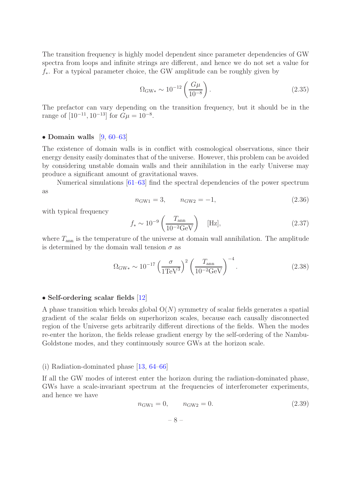The transition frequency is highly model dependent since parameter dependencies of GW spectra from loops and infinite strings are different, and hence we do not set a value for f∗. For a typical parameter choice, the GW amplitude can be roughly given by

$$
\Omega_{\rm GW*} \sim 10^{-12} \left( \frac{G\mu}{10^{-8}} \right). \tag{2.35}
$$

The prefactor can vary depending on the transition frequency, but it should be in the range of  $[10^{-11}, 10^{-13}]$  for  $G\mu = 10^{-8}$ .

#### • Domain walls  $[9, 60-63]$  $[9, 60-63]$  $[9, 60-63]$  $[9, 60-63]$

The existence of domain walls is in conflict with cosmological observations, since their energy density easily dominates that of the universe. However, this problem can be avoided by considering unstable domain walls and their annihilation in the early Universe may produce a significant amount of gravitational waves.

Numerical simulations [\[61](#page-44-7)[–63\]](#page-44-6) find the spectral dependencies of the power spectrum as

$$
n_{\text{GW1}} = 3, \qquad n_{\text{GW2}} = -1, \tag{2.36}
$$

with typical frequency

$$
f_* \sim 10^{-9} \left( \frac{T_{\text{ann}}}{10^{-2} \text{GeV}} \right)
$$
 [Hz], (2.37)

where  $T_{\text{ann}}$  is the temperature of the universe at domain wall annihilation. The amplitude is determined by the domain wall tension  $\sigma$  as

$$
\Omega_{\rm GW*} \sim 10^{-17} \left(\frac{\sigma}{1 \text{TeV}^3}\right)^2 \left(\frac{T_{\rm ann}}{10^{-2} \text{GeV}}\right)^{-4}.
$$
\n(2.38)

#### • Self-ordering scalar fields [\[12\]](#page-42-21)

A phase transition which breaks global  $O(N)$  symmetry of scalar fields generates a spatial gradient of the scalar fields on superhorizon scales, because each causally disconnected region of the Universe gets arbitrarily different directions of the fields. When the modes re-enter the horizon, the fields release gradient energy by the self-ordering of the Nambu-Goldstone modes, and they continuously source GWs at the horizon scale.

#### (i) Radiation-dominated phase [\[13,](#page-42-6) [64](#page-44-8)[–66](#page-45-0)]

If all the GW modes of interest enter the horizon during the radiation-dominated phase, GWs have a scale-invariant spectrum at the frequencies of interferometer experiments, and hence we have

$$
n_{\text{GW1}} = 0, \qquad n_{\text{GW2}} = 0. \tag{2.39}
$$

– 8 –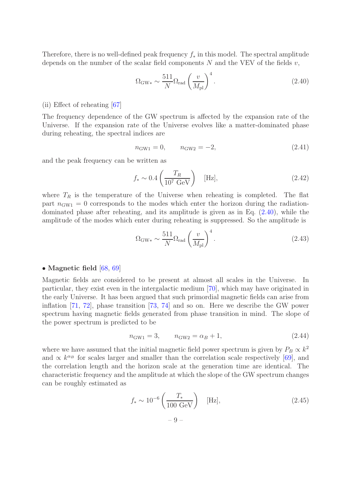Therefore, there is no well-defined peak frequency  $f_*$  in this model. The spectral amplitude depends on the number of the scalar field components  $N$  and the VEV of the fields  $v$ ,

<span id="page-9-0"></span>
$$
\Omega_{\rm GW*} \sim \frac{511}{N} \Omega_{\rm rad} \left(\frac{v}{M_{\rm pl}}\right)^4.
$$
\n(2.40)

#### (ii) Effect of reheating [\[67\]](#page-45-1)

The frequency dependence of the GW spectrum is affected by the expansion rate of the Universe. If the expansion rate of the Universe evolves like a matter-dominated phase during reheating, the spectral indices are

$$
n_{\text{GW1}} = 0, \qquad n_{\text{GW2}} = -2, \tag{2.41}
$$

and the peak frequency can be written as

$$
f_* \sim 0.4 \left(\frac{T_R}{10^7 \text{ GeV}}\right) \quad [\text{Hz}], \tag{2.42}
$$

where  $T_R$  is the temperature of the Universe when reheating is completed. The flat part  $n_{\text{GW1}} = 0$  corresponds to the modes which enter the horizon during the radiationdominated phase after reheating, and its amplitude is given as in Eq. [\(2.40\)](#page-9-0), while the amplitude of the modes which enter during reheating is suppressed. So the amplitude is

$$
\Omega_{\rm GW*} \sim \frac{511}{N} \Omega_{\rm rad} \left(\frac{v}{M_{\rm pl}}\right)^4.
$$
\n(2.43)

#### • Magnetic field [\[68,](#page-45-2) [69\]](#page-45-3)

Magnetic fields are considered to be present at almost all scales in the Universe. In particular, they exist even in the intergalactic medium [\[70](#page-45-4)], which may have originated in the early Universe. It has been argued that such primordial magnetic fields can arise from inflation [\[71](#page-45-5), [72\]](#page-45-6), phase transition [\[73](#page-45-7), [74\]](#page-45-8) and so on. Here we describe the GW power spectrum having magnetic fields generated from phase transition in mind. The slope of the power spectrum is predicted to be

$$
n_{\text{GW1}} = 3, \qquad n_{\text{GW2}} = \alpha_B + 1, \tag{2.44}
$$

where we have assumed that the initial magnetic field power spectrum is given by  $P_B \propto k^2$ and  $\propto k^{\alpha_B}$  for scales larger and smaller than the correlation scale respectively [\[69](#page-45-3)], and the correlation length and the horizon scale at the generation time are identical. The characteristic frequency and the amplitude at which the slope of the GW spectrum changes can be roughly estimated as

$$
f_* \sim 10^{-6} \left( \frac{T_*}{100 \text{ GeV}} \right)
$$
 [Hz], (2.45)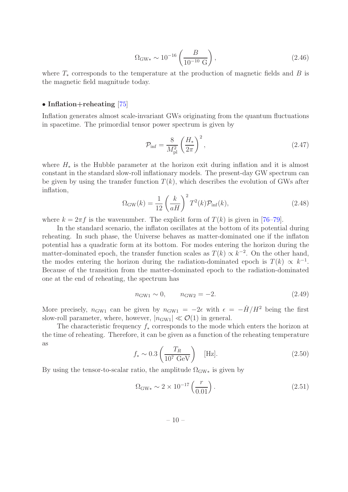$$
\Omega_{\rm GW*} \sim 10^{-16} \left( \frac{B}{10^{-10} \text{ G}} \right),\tag{2.46}
$$

where  $T_*$  corresponds to the temperature at the production of magnetic fields and B is the magnetic field magnitude today.

#### • Inflation+reheating [\[75\]](#page-45-9)

Inflation generates almost scale-invariant GWs originating from the quantum fluctuations in spacetime. The primordial tensor power spectrum is given by

$$
\mathcal{P}_{\rm inf} = \frac{8}{M_{\rm pl}^2} \left(\frac{H_*}{2\pi}\right)^2, \tag{2.47}
$$

where  $H_*$  is the Hubble parameter at the horizon exit during inflation and it is almost constant in the standard slow-roll inflationary models. The present-day GW spectrum can be given by using the transfer function  $T(k)$ , which describes the evolution of GWs after inflation,

$$
\Omega_{\rm GW}(k) = \frac{1}{12} \left(\frac{k}{aH}\right)^2 T^2(k) \mathcal{P}_{\rm inf}(k),\tag{2.48}
$$

where  $k = 2\pi f$  is the wavenumber. The explicit form of  $T(k)$  is given in [\[76](#page-45-10)[–79\]](#page-45-11).

In the standard scenario, the inflaton oscillates at the bottom of its potential during reheating. In such phase, the Universe behaves as matter-dominated one if the inflaton potential has a quadratic form at its bottom. For modes entering the horizon during the matter-dominated epoch, the transfer function scales as  $T(k) \propto k^{-2}$ . On the other hand, the modes entering the horizon during the radiation-dominated epoch is  $T(k) \propto k^{-1}$ . Because of the transition from the matter-dominated epoch to the radiation-dominated one at the end of reheating, the spectrum has

$$
n_{\text{GW1}} \sim 0, \qquad n_{\text{GW2}} = -2. \tag{2.49}
$$

More precisely,  $n_{\text{GW1}}$  can be given by  $n_{\text{GW1}} = -2\epsilon$  with  $\epsilon = -H/H^2$  being the first slow-roll parameter, where, however,  $|n_{\text{GW1}}| \ll \mathcal{O}(1)$  in general.

The characteristic frequency  $f_*$  corresponds to the mode which enters the horizon at the time of reheating. Therefore, it can be given as a function of the reheating temperature as

$$
f_* \sim 0.3 \left(\frac{T_R}{10^7 \text{ GeV}}\right) \quad [\text{Hz}]. \tag{2.50}
$$

By using the tensor-to-scalar ratio, the amplitude  $\Omega_{\rm GW*}$  is given by

$$
\Omega_{\rm GW*} \sim 2 \times 10^{-17} \left( \frac{r}{0.01} \right). \tag{2.51}
$$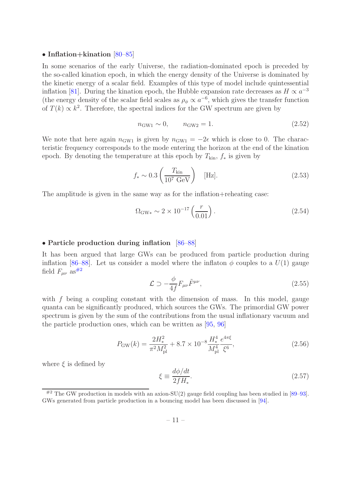#### • Inflation+kination  $[80-85]$  $[80-85]$

In some scenarios of the early Universe, the radiation-dominated epoch is preceded by the so-called kination epoch, in which the energy density of the Universe is dominated by the kinetic energy of a scalar field. Examples of this type of model include quintessential inflation [\[81](#page-45-14)]. During the kination epoch, the Hubble expansion rate decreases as  $H \propto a^{-3}$ (the energy density of the scalar field scales as  $\rho_{\phi} \propto a^{-6}$ , which gives the transfer function of  $T(k) \propto k^2$ . Therefore, the spectral indices for the GW spectrum are given by

$$
n_{\text{GW1}} \sim 0, \qquad n_{\text{GW2}} = 1. \tag{2.52}
$$

We note that here again  $n_{\text{GW1}}$  is given by  $n_{\text{GW1}} = -2\epsilon$  which is close to 0. The characteristic frequency corresponds to the mode entering the horizon at the end of the kination epoch. By denoting the temperature at this epoch by  $T_{kin}$ ,  $f_*$  is given by

$$
f_* \sim 0.3 \left(\frac{T_{\text{kin}}}{10^7 \text{ GeV}}\right) \quad [\text{Hz}]. \tag{2.53}
$$

The amplitude is given in the same way as for the inflation+reheating case:

$$
\Omega_{\rm GW*} \sim 2 \times 10^{-17} \left( \frac{r}{0.01} \right). \tag{2.54}
$$

#### • Particle production during inflation [\[86](#page-45-15)[–88\]](#page-45-16)

It has been argued that large GWs can be produced from particle production during inflation [\[86](#page-45-15)[–88](#page-45-16)]. Let us consider a model where the inflaton  $\phi$  couples to a  $U(1)$  gauge field  $F_{\mu\nu}$  as<sup>[#2](#page-11-0)</sup>

$$
\mathcal{L} \supset -\frac{\phi}{4f} F_{\mu\nu} \tilde{F}^{\mu\nu},\tag{2.55}
$$

with  $f$  being a coupling constant with the dimension of mass. In this model, gauge quanta can be significantly produced, which sources the GWs. The primordial GW power spectrum is given by the sum of the contributions from the usual inflationary vacuum and the particle production ones, which can be written as [\[95](#page-46-0), [96](#page-46-1)]

$$
P_{\rm GW}(k) = \frac{2H_*^2}{\pi^2 M_{\rm pl}^2} + 8.7 \times 10^{-8} \frac{H_*^4}{M_{\rm pl}^4} \frac{e^{4\pi\xi}}{\xi^6},\tag{2.56}
$$

where  $\xi$  is defined by

$$
\xi \equiv \frac{d\phi/dt}{2fH_*}.\tag{2.57}
$$

<span id="page-11-0"></span><sup>&</sup>lt;sup>#2</sup> The GW production in models with an axion-SU(2) gauge field coupling has been studied in [\[89](#page-45-17)[–93\]](#page-46-2). GWs generated from particle production in a bouncing model has been discussed in [\[94](#page-46-3)].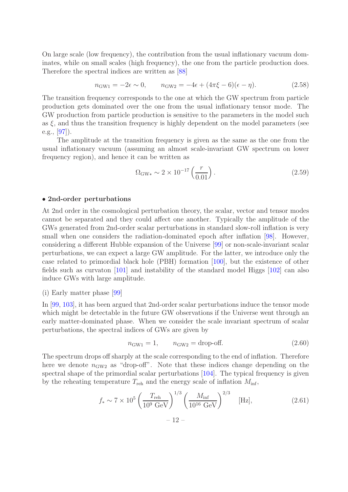On large scale (low frequency), the contribution from the usual inflationary vacuum dominates, while on small scales (high frequency), the one from the particle production does. Therefore the spectral indices are written as [\[88](#page-45-16)]

$$
n_{\text{GW1}} = -2\epsilon \sim 0, \qquad n_{\text{GW2}} = -4\epsilon + (4\pi\xi - 6)(\epsilon - \eta). \tag{2.58}
$$

The transition frequency corresponds to the one at which the GW spectrum from particle production gets dominated over the one from the usual inflationary tensor mode. The GW production from particle production is sensitive to the parameters in the model such as  $\xi$ , and thus the transition frequency is highly dependent on the model parameters (see e.g., [\[97\]](#page-46-4)).

The amplitude at the transition frequency is given as the same as the one from the usual inflationary vacuum (assuming an almost scale-invariant GW spectrum on lower frequency region), and hence it can be written as

$$
\Omega_{\rm GW*} \sim 2 \times 10^{-17} \left( \frac{r}{0.01} \right). \tag{2.59}
$$

#### • 2nd-order perturbations

At 2nd order in the cosmological perturbation theory, the scalar, vector and tensor modes cannot be separated and they could affect one another. Typically the amplitude of the GWs generated from 2nd-order scalar perturbations in standard slow-roll inflation is very small when one considers the radiation-dominated epoch after inflation [\[98](#page-46-5)]. However, considering a different Hubble expansion of the Universe [\[99](#page-46-6)] or non-scale-invariant scalar perturbations, we can expect a large GW amplitude. For the latter, we introduce only the case related to primordial black hole (PBH) formation [\[100\]](#page-46-7), but the existence of other fields such as curvaton [\[101\]](#page-46-8) and instability of the standard model Higgs [\[102](#page-46-9)] can also induce GWs with large amplitude.

#### (i) Early matter phase [\[99\]](#page-46-6)

In [\[99,](#page-46-6) [103\]](#page-46-10), it has been argued that 2nd-order scalar perturbations induce the tensor mode which might be detectable in the future GW observations if the Universe went through an early matter-dominated phase. When we consider the scale invariant spectrum of scalar perturbations, the spectral indices of GWs are given by

$$
n_{\text{GW1}} = 1, \qquad n_{\text{GW2}} = \text{drop-off.} \tag{2.60}
$$

The spectrum drops off sharply at the scale corresponding to the end of inflation. Therefore here we denote  $n_{\text{GW2}}$  as "drop-off". Note that these indices change depending on the spectral shape of the primordial scalar perturbations [\[104](#page-46-11)]. The typical frequency is given by the reheating temperature  $T_{\text{reh}}$  and the energy scale of inflation  $M_{\text{inf}}$ ,

$$
f_* \sim 7 \times 10^5 \left(\frac{T_{\text{reh}}}{10^9 \text{ GeV}}\right)^{1/3} \left(\frac{M_{\text{inf}}}{10^{16} \text{ GeV}}\right)^{2/3}
$$
 [Hz], (2.61)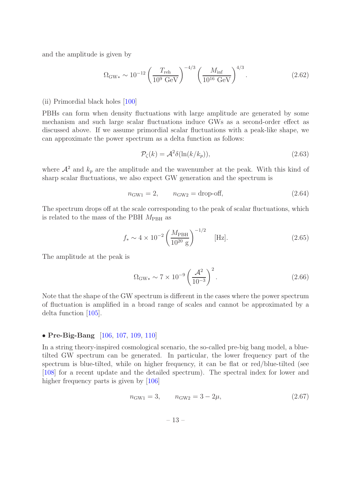and the amplitude is given by

$$
\Omega_{\rm GW*} \sim 10^{-12} \left( \frac{T_{\rm reh}}{10^9 \text{ GeV}} \right)^{-4/3} \left( \frac{M_{\rm inf}}{10^{16} \text{ GeV}} \right)^{4/3}.
$$
 (2.62)

#### (ii) Primordial black holes [\[100\]](#page-46-7)

PBHs can form when density fluctuations with large amplitude are generated by some mechanism and such large scalar fluctuations induce GWs as a second-order effect as discussed above. If we assume primordial scalar fluctuations with a peak-like shape, we can approximate the power spectrum as a delta function as follows:

$$
\mathcal{P}_{\zeta}(k) = \mathcal{A}^2 \delta(\ln(k/k_p)),\tag{2.63}
$$

where  $\mathcal{A}^2$  and  $k_p$  are the amplitude and the wavenumber at the peak. With this kind of sharp scalar fluctuations, we also expect GW generation and the spectrum is

$$
n_{\text{GW1}} = 2, \qquad n_{\text{GW2}} = \text{drop-off}, \tag{2.64}
$$

The spectrum drops off at the scale corresponding to the peak of scalar fluctuations, which is related to the mass of the PBH  $M_{\text{PBH}}$  as

$$
f_* \sim 4 \times 10^{-2} \left(\frac{M_{\text{PBH}}}{10^{20} \text{ g}}\right)^{-1/2}
$$
 [Hz]. (2.65)

The amplitude at the peak is

$$
\Omega_{\rm GW*} \sim 7 \times 10^{-9} \left( \frac{\mathcal{A}^2}{10^{-3}} \right)^2.
$$
 (2.66)

Note that the shape of the GW spectrum is different in the cases where the power spectrum of fluctuation is amplified in a broad range of scales and cannot be approximated by a delta function [\[105\]](#page-46-12).

#### • Pre-Big-Bang [\[106](#page-46-13), [107,](#page-46-14) [109,](#page-46-15) [110](#page-46-16)]

In a string theory-inspired cosmological scenario, the so-called pre-big bang model, a bluetilted GW spectrum can be generated. In particular, the lower frequency part of the spectrum is blue-tilted, while on higher frequency, it can be flat or red/blue-tilted (see [\[108\]](#page-46-17) for a recent update and the detailed spectrum). The spectral index for lower and higher frequency parts is given by [\[106](#page-46-13)]

$$
n_{\text{GW1}} = 3, \qquad n_{\text{GW2}} = 3 - 2\mu,\tag{2.67}
$$

– 13 –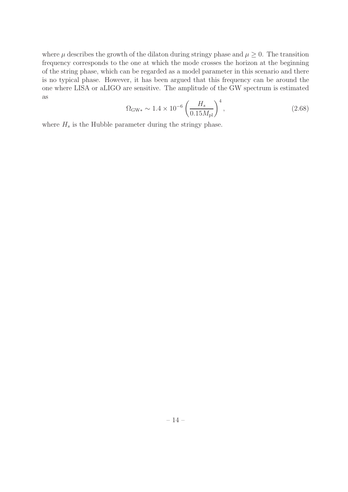where  $\mu$  describes the growth of the dilaton during stringy phase and  $\mu \geq 0$ . The transition frequency corresponds to the one at which the mode crosses the horizon at the beginning of the string phase, which can be regarded as a model parameter in this scenario and there is no typical phase. However, it has been argued that this frequency can be around the one where LISA or aLIGO are sensitive. The amplitude of the GW spectrum is estimated as

$$
\Omega_{\rm GW*} \sim 1.4 \times 10^{-6} \left( \frac{H_s}{0.15 M_{\rm pl}} \right)^4,\tag{2.68}
$$

where  $H_s$  is the Hubble parameter during the stringy phase.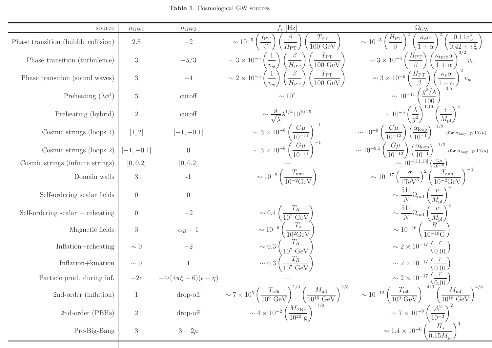<span id="page-15-0"></span>Table <sup>1</sup>. Cosmological GW sources

| source                              | $n_{\rm GW1}$    | $n_{\text{GW2}}$                       | $f_*$ [Hz]                                                                                                                                                                    | $\overline{\Omega}_\textrm{GW}$                                                                                                                                 |
|-------------------------------------|------------------|----------------------------------------|-------------------------------------------------------------------------------------------------------------------------------------------------------------------------------|-----------------------------------------------------------------------------------------------------------------------------------------------------------------|
| Phase transition (bubble collision) | 2.8              | $-2\,$                                 | $\sim 10^{-5} \left(\frac{f_{\rm PT}}{\beta}\right) \left(\frac{\beta}{H_{\rm PT}}\right)$<br>$\left(\frac{T_{\rm PT}}{100~{\rm GeV}}\right)$                                 | $\left(\frac{0.11v_w^3}{0.42+v_w^2}\right)$<br>$\sim 10^{-5} \left(\frac{H_{\rm PT}}{\beta}\right)^2 \left(\frac{\kappa_{\phi} \alpha}{1+\alpha}\right)^2$      |
| Phase transition (turbulence)       | $\mathfrak{Z}$   | $-5/3$                                 | $\sim 3 \times 10^{-5} \left(\frac{1}{v_w}\right) \left(\frac{\beta}{H_{\rm PT}}\right) \left(\frac{T_{\rm PT}}{100 \text{ GeV}}\right)$                                      | $\sim 3 \times 10^{-4} \left(\frac{H_{\rm PT}}{\beta}\right) \left(\frac{\kappa_{\rm turb}\alpha}{1+\alpha}\right)^{3/2}$<br>$v_w$                              |
| Phase transition (sound waves)      | $\mathfrak{Z}$   | $-4$                                   | $\sim 2 \times 10^{-5} \left(\frac{1}{v_{w}}\right) \left(\frac{\beta}{H_{\rm PT}}\right) \left(\frac{T_{\rm PT}}{100 \text{ GeV}}\right)$                                    | $\sim 3 \times 10^{-6} \left(\frac{H_{\rm PT}}{\beta}\right) \left(\frac{\kappa_v \alpha}{1+\alpha}\right)^2 v_w$                                               |
| Preheating $(\lambda \phi^4)$       | 3                | cutoff                                 | $\sim 10^7$                                                                                                                                                                   | $\sim 10^{-11} \left( \frac{g^2/\lambda}{100} \right)^{-0.5}$                                                                                                   |
| Preheating (hybrid)                 | $\sqrt{2}$       | cutoff                                 | $\sim \frac{g}{\sqrt{\lambda}} \lambda^{1/4} 10^{10.25}$                                                                                                                      | $\sim 10^{-5} \left(\frac{\lambda}{q^2}\right)^{1.16} \left(\frac{v}{M_{\rm pl}}\right)^2$                                                                      |
| Cosmic strings (loops $1$ )         | [1, 2]           | $[-1, -0.1]$                           | $\sim 3 \times 10^{-8} \left( \frac{G\mu}{10^{-11}} \right)^{-1}$<br>$\sim 3 \times 10^{-8} \left( \frac{G\mu}{10^{-11}} \right)^{-1}$                                        | $\sim 10^{-9} \left( \frac{G\mu}{10^{-12}} \right) \left( \frac{\alpha_{\text{loop}}}{10^{-1}} \right)^{-1/2}$ (for $\alpha_{\text{loop}} \gg \Gamma G\mu$ )    |
| Cosmic strings (loops 2)            | $[-1, -0.1]$     | $\overline{0}$                         |                                                                                                                                                                               | $\sim 10^{-9.5} \left( \frac{G\mu}{10^{-12}} \right) \left( \frac{\alpha_{\text{loop}}}{10^{-1}} \right)^{-1/2}$ (for $\alpha_{\text{loop}} \gg \Gamma G \mu$ ) |
| Cosmic strings (infinite strings)   | [0, 0.2]         | [0, 0.2]                               |                                                                                                                                                                               | $\sim 10^{-[11,13]} \left( \frac{G\mu}{10^{-8}} \right)$                                                                                                        |
| Domain walls                        | 3                | $-1$                                   | $\sim 10^{-9} \left( \frac{T_{\rm ann}}{10^{-2} \text{GeV}} \right)$                                                                                                          | $\sim 10^{-17} \left( \frac{\sigma}{1 \text{TeV}^3} \right)^2 \left( \frac{T_{\text{ann}}}{10^{-2} \text{GeV}} \right)^{-4}$                                    |
| Self-ordering scalar fields         | $\overline{0}$   | $\overline{0}$                         |                                                                                                                                                                               | $\sim \frac{511}{N} \Omega_{\rm rad} \left(\frac{v}{M_{\rm pl}}\right)^4$                                                                                       |
| Self-ordering scalar $+$ reheating  | $\overline{0}$   | $-2$                                   | $\sim 0.4 \left( \frac{T_R}{10^7 \text{ GeV}} \right)$                                                                                                                        | $\sim \frac{511}{N} \Omega_{\rm rad} \left( \frac{v}{M_{\rm pl}} \right)^4$                                                                                     |
| Magnetic fields                     | 3                | $\alpha_B+1$                           | $\sim 10^{-6} \left( \frac{T_*}{10^2 \text{GeV}} \right)$<br>$\sim 0.3 \left( \frac{T_R}{10^7 \text{ GeV}} \right)$<br>$\sim 0.3 \left( \frac{T_R}{10^7 \text{ GeV}} \right)$ | $\sim 10^{-16} \left( \frac{B}{10^{-10} \text{G}} \right)$                                                                                                      |
| Inflation+reheating                 | $\sim 0$         | $-2\,$                                 |                                                                                                                                                                               | $\sim 2 \times 10^{-17} \left( \frac{r}{0.01} \right)$                                                                                                          |
| Inflation+kination                  | $\sim 0$         | $\mathbf{1}$                           |                                                                                                                                                                               | $\sim 2 \times 10^{-17} \left( \frac{r}{0.01} \right)$                                                                                                          |
| Particle prod. during inf.          | $-2\epsilon$     | $-4\epsilon(4\pi\xi-6)(\epsilon-\eta)$ |                                                                                                                                                                               | $\sim 2 \times 10^{-17} \left( \frac{r}{0.01} \right)$                                                                                                          |
| 2nd-order (inflation)               |                  | $drop-off$                             | $\sim 7 \times 10^5 \left( \frac{T_{\rm reh}}{10^9 \text{ GeV}} \right)^{1/3} \left( \frac{M_{\rm inf}}{10^{16} \text{ GeV}} \right)^{2/3}$                                   | $\sim 10^{-12} \left( \frac{T_{\rm reh}}{10^9 \text{ GeV}} \right)^{-4/3} \left( \frac{M_{\rm inf}}{10^{16} \text{ GeV}} \right)^{4/3}$                         |
| 2nd-order (PBHs)                    | $\overline{2}$   | $drop-off$                             | $\sim 4 \times 10^{-2} \left(\frac{M_{\rm PBH}}{10^{20}~{\rm g}}\right)^{-1/2}$                                                                                               | $\sim 7 \times 10^{-9} \left( \frac{\mathcal{A}^2}{10^{-3}} \right)^2$                                                                                          |
| Pre-Big-Bang                        | $\boldsymbol{3}$ | $3 - 2\mu$                             |                                                                                                                                                                               | $\sim 1.4 \times 10^{-6} \left( \frac{H_s}{0.15 M_{\rm pl}} \right)$                                                                                            |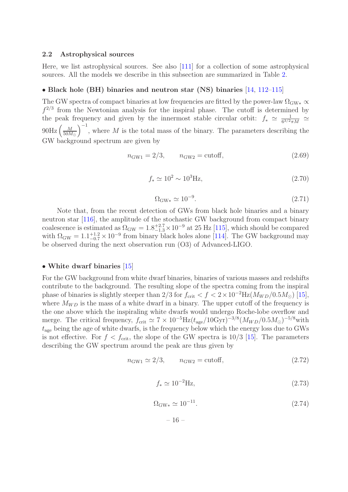#### <span id="page-16-0"></span>2.2 Astrophysical sources

Here, we list astrophysical sources. See also [\[111\]](#page-46-18) for a collection of some astrophysical sources. All the models we describe in this subsection are summarized in Table [2.](#page-19-0)

#### • Black hole (BH) binaries and neutron star (NS) binaries [\[14](#page-42-7), [112](#page-46-19)[–115](#page-47-0)]

The GW spectra of compact binaries at low frequencies are fitted by the power-law  $\Omega_{\rm GW*} \propto$  $f^{2/3}$  from the Newtonian analysis for the inspiral phase. The cutoff is determined by the peak frequency and given by the innermost stable circular orbit:  $f_* \simeq \frac{1}{6^{3/2}}$  $\frac{1}{6^{3/2}\pi M} \simeq$  $90\text{Hz}$   $\left(\frac{M}{50M}\right)$  $\left(\frac{M}{50M_{\odot}}\right)^{-1}$ , where M is the total mass of the binary. The parameters describing the GW background spectrum are given by

$$
n_{\text{GW1}} = 2/3, \qquad n_{\text{GW2}} = \text{cutoff}, \tag{2.69}
$$

$$
f_* \simeq 10^2 \sim 10^3 \text{Hz},\tag{2.70}
$$

$$
\Omega_{\rm GW*} \simeq 10^{-9}.\tag{2.71}
$$

Note that, from the recent detection of GWs from black hole binaries and a binary neutron star [\[116\]](#page-47-1), the amplitude of the stochastic GW background from compact binary coalescence is estimated as  $\Omega_{\rm GW} = 1.8^{+2.7}_{-1.3} \times 10^{-9}$  at 25 Hz [\[115](#page-47-0)], which should be compared with  $\Omega_{\rm GW} = 1.1_{-0.7}^{+1.2} \times 10^{-9}$  from binary black holes alone [\[114](#page-47-2)]. The GW background may be observed during the next observation run (O3) of Advanced-LIGO.

#### • White dwarf binaries [\[15](#page-42-8)]

For the GW background from white dwarf binaries, binaries of various masses and redshifts contribute to the background. The resulting slope of the spectra coming from the inspiral phase of binaries is slightly steeper than 2/3 for  $f_{\text{crit}} < f < 2 \times 10^{-2}$  Hz( $M_{WD}/0.5 M_{\odot}$ ) [\[15\]](#page-42-8), where  $M_{WD}$  is the mass of a white dwarf in a binary. The upper cutoff of the frequency is the one above which the inspiraling white dwarfs would undergo Roche-lobe overflow and merge. The critical frequency,  $f_{\rm crit} \simeq 7 \times 10^{-5}$  Hz $(t_{\rm age}/10$ Gyr)<sup>-3/8</sup> $(M_{WD}/0.5M_{\odot})^{-5/8}$  with  $t_{\text{age}}$  being the age of white dwarfs, is the frequency below which the energy loss due to GWs is not effective. For  $f < f_{\rm crit}$ , the slope of the GW spectra is 10/3 [\[15\]](#page-42-8). The parameters describing the GW spectrum around the peak are thus given by

$$
n_{\text{GW1}} \simeq 2/3, \qquad n_{\text{GW2}} = \text{cutoff}, \tag{2.72}
$$

$$
f_* \simeq 10^{-2} \text{Hz},\tag{2.73}
$$

$$
\Omega_{\rm GW*} \simeq 10^{-11}.\tag{2.74}
$$

– 16 –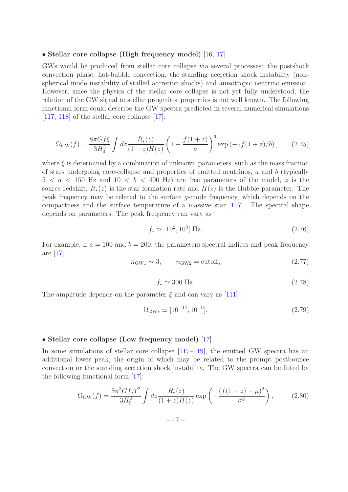#### • Stellar core collapse (High frequency model) [\[16](#page-42-9), [17\]](#page-42-10)

GWs would be produced from stellar core collapse via several processes: the postshock convection phase, hot-bubble convection, the standing accretion shock instability (nonspherical mode instability of stalled accretion shocks) and anisotropic neutrino emission. However, since the physics of the stellar core collapse is not yet fully understood, the relation of the GW signal to stellar progenitor properties is not well known. The following functional form could describe the GW spectra predicted in several numerical simulations  $[117, 118]$  $[117, 118]$  $[117, 118]$  of the stellar core collapse  $[17]$ :

$$
\Omega_{\rm GW}(f) = \frac{8\pi G f \xi}{3H_0^3} \int dz \frac{R_*(z)}{(1+z)H(z)} \left(1 + \frac{f(1+z)}{a}\right)^6 \exp\left(-2f(1+z)/b\right),\tag{2.75}
$$

where  $\xi$  is determined by a combination of unknown parameters, such as the mass fraction of stars undergoing core-collapse and properties of emitted neutrinos,  $a$  and  $b$  (typically  $5 < a < 150$  Hz and  $10 < b < 400$  Hz) are free parameters of the model, z is the source redshift,  $R_*(z)$  is the star formation rate and  $H(z)$  is the Hubble parameter. The peak frequency may be related to the surface g-mode frequency, which depends on the compactness and the surface temperature of a massive star [\[117](#page-47-3)]. The spectral shape depends on parameters. The peak frequency can vary as

$$
f_* \simeq [10^2, 10^3] \text{ Hz.}
$$
 (2.76)

For example, if  $a = 100$  and  $b = 200$ , the parameters spectral indices and peak frequency are [\[17\]](#page-42-10)

$$
n_{\text{GW1}} \sim 3, \qquad n_{\text{GW2}} = \text{cutoff}, \tag{2.77}
$$

$$
f_* \simeq 300 \text{ Hz.} \tag{2.78}
$$

The amplitude depends on the parameter  $\xi$  and can vary as [\[111\]](#page-46-18)

$$
\Omega_{\text{GW}\ast} \simeq [10^{-14}, 10^{-9}]. \tag{2.79}
$$

#### • Stellar core collapse (Low frequency model) [\[17\]](#page-42-10)

In some simulations of stellar core collapse [\[117](#page-47-3)[–119\]](#page-47-5), the emitted GW spectra has an additional lower peak, the origin of which may be related to the prompt postbounce convection or the standing accretion shock instability. The GW spectra can be fitted by the following functional form [\[17](#page-42-10)]:

$$
\Omega_{\rm GW}(f) = \frac{8\pi^3 G f A'^2}{3H_0^2} \int dz \frac{R_*(z)}{(1+z)H(z)} \exp\left(-\frac{(f(1+z)-\mu)^2}{\sigma^2}\right),\tag{2.80}
$$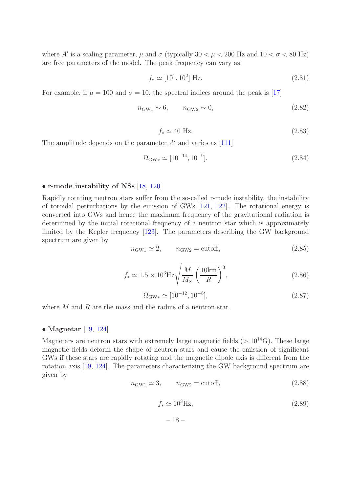where A' is a scaling parameter,  $\mu$  and  $\sigma$  (typically 30  $\lt \mu \lt 200$  Hz and 10  $\lt \sigma \lt 80$  Hz) are free parameters of the model. The peak frequency can vary as

$$
f_* \simeq [10^1, 10^2] \text{ Hz.}
$$
 (2.81)

For example, if  $\mu = 100$  and  $\sigma = 10$ , the spectral indices around the peak is [\[17\]](#page-42-10)

$$
n_{\text{GW1}} \sim 6, \qquad n_{\text{GW2}} \sim 0,\tag{2.82}
$$

$$
f_* \simeq 40 \text{ Hz.} \tag{2.83}
$$

The amplitude depends on the parameter  $A'$  and varies as [\[111](#page-46-18)]

$$
\Omega_{\text{GW}\ast} \simeq [10^{-14}, 10^{-9}]. \tag{2.84}
$$

#### • r-mode instability of NSs [\[18](#page-42-11), [120\]](#page-47-6)

Rapidly rotating neutron stars suffer from the so-called r-mode instability, the instability of toroidal perturbations by the emission of GWs [\[121,](#page-47-7) [122\]](#page-47-8). The rotational energy is converted into GWs and hence the maximum frequency of the gravitational radiation is determined by the initial rotational frequency of a neutron star which is approximately limited by the Kepler frequency [\[123\]](#page-47-9). The parameters describing the GW background spectrum are given by

$$
n_{\text{GW1}} \simeq 2, \qquad n_{\text{GW2}} = \text{cutoff}, \tag{2.85}
$$

$$
f_* \simeq 1.5 \times 10^3 \text{Hz} \sqrt{\frac{M}{M_\odot} \left(\frac{10 \text{km}}{R}\right)^3},\tag{2.86}
$$

$$
\Omega_{\text{GW}*} \simeq [10^{-12}, 10^{-8}], \tag{2.87}
$$

where  $M$  and  $R$  are the mass and the radius of a neutron star.

### • Magnetar [\[19,](#page-42-12) [124](#page-47-10)]

Magnetars are neutron stars with extremely large magnetic fields  $(>10^{14}$ G). These large magnetic fields deform the shape of neutron stars and cause the emission of significant GWs if these stars are rapidly rotating and the magnetic dipole axis is different from the rotation axis [\[19,](#page-42-12) [124\]](#page-47-10). The parameters characterizing the GW background spectrum are given by

$$
n_{\text{GW1}} \simeq 3, \qquad n_{\text{GW2}} = \text{cutoff}, \tag{2.88}
$$

$$
f_* \simeq 10^3 \text{Hz},\tag{2.89}
$$

 $-18-$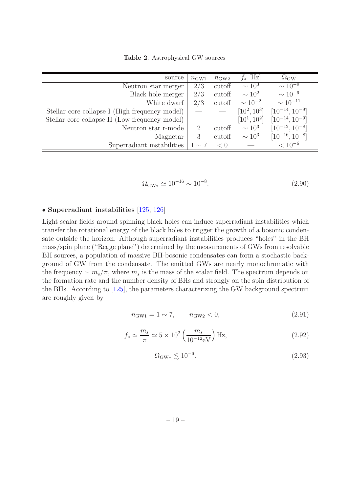<span id="page-19-0"></span>Table 2. Astrophysical GW sources

| source                                         | $n_{\text{GW1}}$ | $n_{\text{GW2}}$ | [Hz]<br>$J_{*}$ | $\Omega_{\rm GW}$     |
|------------------------------------------------|------------------|------------------|-----------------|-----------------------|
| Neutron star merger                            | 2/3              | cutoff           | $\sim 10^3$     | $\sim 10^{-9}$        |
| Black hole merger                              | 2/3              | cutoff           | $\sim 10^2$     | $\sim 10^{-9}$        |
| White dwarf                                    | 2/3              | cutoff           | $\sim 10^{-2}$  | $\sim 10^{-11}$       |
| Stellar core collapse I (High frequency model) |                  |                  | $[10^2, 10^3]$  | $[10^{-14}, 10^{-9}]$ |
| Stellar core collapse II (Low frequency model) |                  |                  | $[10^1, 10^2]$  | $[10^{-14}, 10^{-9}]$ |
| Neutron star r-mode                            | 2                | cutoff           | $\sim 10^3$     | $[10^{-12}, 10^{-8}]$ |
| Magnetar                                       | 3                | cutoff           | $\sim 10^3$     | $[10^{-16}, 10^{-8}]$ |
| Superradiant instabilities                     | $1\sim7$         | < 0              |                 | $< 10^{-6}$           |

$$
\Omega_{\text{GW}\ast} \simeq 10^{-16} \sim 10^{-8}.\tag{2.90}
$$

#### • Superradiant instabilities [\[125](#page-47-11), [126\]](#page-47-12)

Light scalar fields around spinning black holes can induce superradiant instabilities which transfer the rotational energy of the black holes to trigger the growth of a bosonic condensate outside the horizon. Although superradiant instabilities produces "holes" in the BH mass/spin plane ("Regge plane") determined by the measurements of GWs from resolvable BH sources, a population of massive BH-bosonic condensates can form a stochastic background of GW from the condensate. The emitted GWs are nearly monochromatic with the frequency  $\sim m_s/\pi$ , where  $m_s$  is the mass of the scalar field. The spectrum depends on the formation rate and the number density of BHs and strongly on the spin distribution of the BHs. According to [\[125\]](#page-47-11), the parameters characterizing the GW background spectrum are roughly given by

$$
n_{\text{GW1}} = 1 \sim 7, \qquad n_{\text{GW2}} < 0,\tag{2.91}
$$

$$
f_* \simeq \frac{m_s}{\pi} \simeq 5 \times 10^2 \left( \frac{m_s}{10^{-12} \text{eV}} \right) \text{Hz},
$$
 (2.92)

$$
\Omega_{\text{GW*}} \lesssim 10^{-6}.\tag{2.93}
$$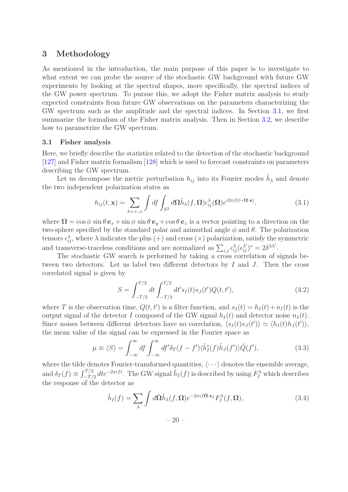# <span id="page-20-0"></span>3 Methodology

As mentioned in the introduction, the main purpose of this paper is to investigate to what extent we can probe the source of the stochastic GW background with future GW experiments by looking at the spectral shapes, more specifically, the spectral indices of the GW power spectrum. To pursue this, we adopt the Fisher matrix analysis to study expected constraints from future GW observations on the parameters characterizing the GW spectrum such as the amplitude and the spectral indices. In Section [3.1,](#page-20-1) we first summarize the formalism of the Fisher matrix analysis. Then in Section [3.2,](#page-23-0) we describe how to parametrize the GW spectrum.

#### <span id="page-20-1"></span>3.1 Fisher analysis

Here, we briefly describe the statistics related to the detection of the stochastic background [\[127\]](#page-47-13) and Fisher matrix formalism [\[128\]](#page-47-14) which is used to forecast constraints on parameters describing the GW spectrum.

Let us decompose the metric perturbation  $h_{ij}$  into its Fourier modes  $\tilde{h}_{\lambda}$  and denote the two independent polarization states as

$$
h_{ij}(t, \mathbf{x}) = \sum_{\lambda = +,\times} \int df \int_{S^2} d\Omega \tilde{h}_{\lambda}(f, \Omega) \epsilon_{ij}^{\lambda}(\Omega) e^{i2\pi f(t - \Omega \cdot \mathbf{x})}.
$$
 (3.1)

where  $\Omega = \cos \phi \sin \theta \, \mathbf{e}_x + \sin \phi \sin \theta \, \mathbf{e}_y + \cos \theta \, \mathbf{e}_z$  is a vector pointing to a direction on the two-sphere specified by the standard polar and azimuthal angle  $\phi$  and  $\theta$ . The polarization tensors  $\epsilon_{ij}^{\lambda}$ , where  $\lambda$  indicates the plus (+) and cross ( $\times$ ) polarization, satisfy the symmetric and transverse-traceless conditions and are normalized as  $\sum_{i,j} \epsilon_{ij}^{\lambda} (\epsilon_{ij}^{\lambda'})^* = 2 \delta^{\lambda \lambda'}$ .

The stochastic GW search is performed by taking a cross correlation of signals between two detectors. Let us label two different detectors by I and J. Then the cross correlated signal is given by

$$
S = \int_{-T/2}^{T/2} dt \int_{-T/2}^{T/2} dt' s_I(t) s_J(t') Q(t, t'), \qquad (3.2)
$$

where T is the observation time,  $Q(t, t')$  is a filter function, and  $s_I(t) = h_I(t) + n_I(t)$  is the output signal of the detector I composed of the GW signal  $h_I(t)$  and detector noise  $n_I(t)$ . Since noises between different detectors have no correlation,  $\langle s_I(t)s_J(t')\rangle \simeq \langle h_I(t)h_J(t')\rangle$ , the mean value of the signal can be expressed in the Fourier space as

$$
\mu \equiv \langle S \rangle = \int_{-\infty}^{\infty} df \int_{-\infty}^{\infty} df' \delta_T (f - f') \langle \tilde{h}_I^*(f) \tilde{h}_J(f') \rangle \tilde{Q}(f'), \tag{3.3}
$$

where the tilde denotes Fourier-transformed quantities,  $\langle \cdots \rangle$  denotes the ensemble average, and  $\delta_T(f) \equiv \int_{-T/2}^{T/2} dt e^{-2\pi i f t}$ . The GW signal  $\tilde{h}_I(f)$  is described by using  $F_I^{\lambda}$  which describes the response of the detector as

$$
\tilde{h}_I(f) = \sum_{\lambda} \int d\hat{\Omega} \tilde{h}_{\lambda}(f, \Omega) e^{-2\pi i f \hat{\Omega} \cdot \mathbf{x}_I} F_I^{\lambda}(f, \Omega), \tag{3.4}
$$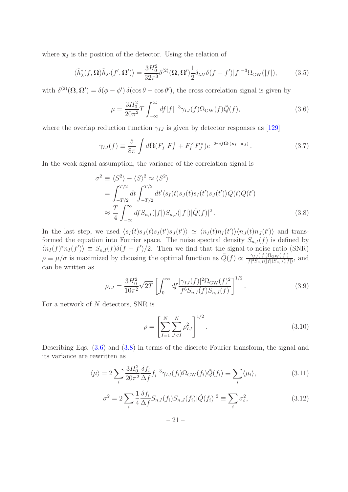where  $x_I$  is the position of the detector. Using the relation of

$$
\langle \tilde{h}_{\lambda}^*(f, \Omega) \tilde{h}_{\lambda'}(f', \Omega') \rangle = \frac{3H_0^2}{32\pi^3} \delta^{(2)}(\Omega, \Omega') \frac{1}{2} \delta_{\lambda \lambda'} \delta(f - f') |f|^{-3} \Omega_{\text{GW}}(|f|), \tag{3.5}
$$

with  $\delta^{(2)}(\Omega, \Omega') = \delta(\phi - \phi') \delta(\cos \theta - \cos \theta')$ , the cross correlation signal is given by

<span id="page-21-0"></span>
$$
\mu = \frac{3H_0^2}{20\pi^2} T \int_{-\infty}^{\infty} df |f|^{-3} \gamma_{IJ}(f) \Omega_{\rm GW}(f) \tilde{Q}(f), \tag{3.6}
$$

where the overlap reduction function  $\gamma_{IJ}$  is given by detector responses as [\[129\]](#page-47-15)

$$
\gamma_{IJ}(f) \equiv \frac{5}{8\pi} \int d\hat{\Omega} (F_I^+ F_J^+ + F_I^\times F_J^\times) e^{-2\pi i f \hat{\Omega} \cdot (\mathbf{x}_I - \mathbf{x}_J)}.
$$
 (3.7)

In the weak-signal assumption, the variance of the correlation signal is

<span id="page-21-1"></span>
$$
\sigma^2 \equiv \langle S^2 \rangle - \langle S \rangle^2 \approx \langle S^2 \rangle
$$
  
= 
$$
\int_{-T/2}^{T/2} dt \int_{-T/2}^{T/2} dt' \langle s_I(t)s_J(t)s_I(t')s_J(t')\rangle Q(t)Q(t')
$$
  

$$
\approx \frac{T}{4} \int_{-\infty}^{\infty} df S_{n,I}(|f|)S_{n,J}(|f|)|\tilde{Q}(f)|^2.
$$
 (3.8)

In the last step, we used  $\langle s_I(t)s_J(t)s_I(t')s_J(t')\rangle \simeq \langle n_I(t)n_I(t')\rangle\langle n_J(t)n_J(t')\rangle$  and transformed the equation into Fourier space. The noise spectral density  $S_{n,I}(f)$  is defined by  $\langle n_I(f)^*n_I(f')\rangle \equiv S_{n,I}(f)\delta(f-f')/2$ . Then we find that the signal-to-noise ratio (SNR)  $\rho \equiv \mu/\sigma$  is maximized by choosing the optimal function as  $\tilde{Q}(f) \propto \frac{\gamma_{IJ}(|f|) \Omega_{\rm GW}(|f|)}{|f|^3 S_{n,I}(|f|) S_{n,J}(|f|)}$  $\frac{\gamma_{IJ}(|J|)^i L \text{GW}(|J|)}{|f|^3 S_{n,I}(|f|) S_{n,J}(|f|)},$  and can be written as

<span id="page-21-4"></span>
$$
\rho_{IJ} = \frac{3H_0^2}{10\pi^2} \sqrt{2T} \left[ \int_0^\infty df \frac{|\gamma_{IJ}(f)|^2 \Omega_{\text{GW}}(f)^2}{f^6 S_{n,I}(f) S_{n,J}(f)} \right]^{1/2} . \tag{3.9}
$$

For a network of  $N$  detectors, SNR is

<span id="page-21-5"></span>
$$
\rho = \left[ \sum_{I=1}^{N} \sum_{J < I}^{N} \rho_{IJ}^2 \right]^{1/2} . \tag{3.10}
$$

Describing Eqs.  $(3.6)$  and  $(3.8)$  in terms of the discrete Fourier transform, the signal and its variance are rewritten as

<span id="page-21-2"></span>
$$
\langle \mu \rangle = 2 \sum_{i} \frac{3H_0^2}{20\pi^2} \frac{\delta f_i}{\Delta f} f_i^{-3} \gamma_{IJ}(f_i) \Omega_{\text{GW}}(f_i) \tilde{Q}(f_i) \equiv \sum_{i} \langle \mu_i \rangle, \tag{3.11}
$$

<span id="page-21-3"></span>
$$
\sigma^2 = 2 \sum_{i} \frac{1}{4} \frac{\delta f_i}{\Delta f} S_{n,I}(f_i) S_{n,J}(f_i) |\tilde{Q}(f_i)|^2 \equiv \sum_{i} \sigma_i^2,
$$
\n(3.12)

– 21 –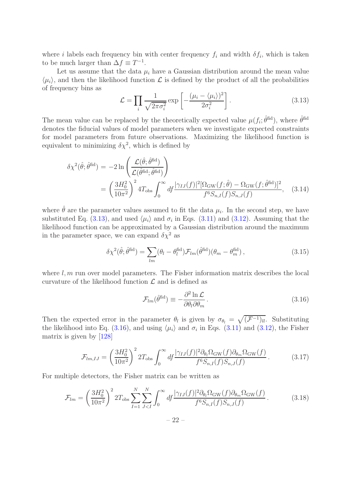where *i* labels each frequency bin with center frequency  $f_i$  and width  $\delta f_i$ , which is taken to be much larger than  $\Delta f \equiv T^{-1}$ .

Let us assume that the data  $\mu_i$  have a Gaussian distribution around the mean value  $\langle \mu_i \rangle$ , and then the likelihood function  $\mathcal L$  is defined by the product of all the probabilities of frequency bins as

<span id="page-22-0"></span>
$$
\mathcal{L} = \prod_{i} \frac{1}{\sqrt{2\pi\sigma_i^2}} \exp\left[-\frac{(\mu_i - \langle \mu_i \rangle)^2}{2\sigma_i^2}\right].
$$
\n(3.13)

The mean value can be replaced by the theoretically expected value  $\mu(f_i; \hat{\theta}^{\text{fid}})$ , where  $\hat{\theta}^{\text{fid}}$ denotes the fiducial values of model parameters when we investigate expected constraints for model parameters from future observations. Maximizing the likelihood function is equivalent to minimizing  $\delta \chi^2$ , which is defined by

$$
\delta \chi^{2}(\hat{\theta}; \hat{\theta}^{\text{fid}}) = -2 \ln \left( \frac{\mathcal{L}(\hat{\theta}; \hat{\theta}^{\text{fid}})}{\mathcal{L}(\hat{\theta}^{\text{fid}}; \hat{\theta}^{\text{fid}})} \right)
$$
  
= 
$$
\left( \frac{3H_{0}^{2}}{10\pi^{2}} \right)^{2} 4T_{\text{obs}} \int_{0}^{\infty} df \frac{|\gamma_{IJ}(f)|^{2} [\Omega_{\text{GW}}(f; \hat{\theta}) - \Omega_{\text{GW}}(f; \hat{\theta}^{\text{fid}})]^{2}}{f^{6} S_{n,I}(f) S_{n,J}(f)}, \quad (3.14)
$$

where  $\hat{\theta}$  are the parameter values assumed to fit the data  $\mu_i$ . In the second step, we have substituted Eq. [\(3.13\)](#page-22-0), and used  $\langle \mu_i \rangle$  and  $\sigma_i$  in Eqs. [\(3.11\)](#page-21-2) and [\(3.12\)](#page-21-3). Assuming that the likelihood function can be approximated by a Gaussian distribution around the maximum in the parameter space, we can expand  $\delta \chi^2$  as

$$
\delta \chi^2(\hat{\theta}; \hat{\theta}^{\text{fid}}) = \sum_{lm} (\theta_l - \theta_l^{\text{fid}}) \mathcal{F}_{lm}(\hat{\theta}^{\text{fid}}) (\theta_m - \theta_m^{\text{fid}}) , \qquad (3.15)
$$

where  $l, m$  run over model parameters. The Fisher information matrix describes the local curvature of the likelihood function  $\mathcal L$  and is defined as

<span id="page-22-1"></span>
$$
\mathcal{F}_{lm}(\hat{\theta}^{\text{fid}}) \equiv -\frac{\partial^2 \ln \mathcal{L}}{\partial \theta_l \partial \theta_m}.
$$
\n(3.16)

Then the expected error in the parameter  $\theta_l$  is given by  $\sigma_{\theta_l} = \sqrt{(\mathcal{F}^{-1})_{ll}}$ . Substituting the likelihood into Eq. [\(3.16\)](#page-22-1), and using  $\langle \mu_i \rangle$  and  $\sigma_i$  in Eqs. [\(3.11\)](#page-21-2) and [\(3.12\)](#page-21-3), the Fisher matrix is given by [\[128](#page-47-14)]

$$
\mathcal{F}_{lm,IJ} = \left(\frac{3H_0^2}{10\pi^2}\right)^2 2T_{\text{obs}} \int_0^\infty df \frac{|\gamma_{IJ}(f)|^2 \partial_{\theta_l} \Omega_{\text{GW}}(f) \partial_{\theta_m} \Omega_{\text{GW}}(f)}{f^6 S_{n,I}(f) S_{n,J}(f)}.
$$
(3.17)

For multiple detectors, the Fisher matrix can be written as

<span id="page-22-2"></span>
$$
\mathcal{F}_{lm} = \left(\frac{3H_0^2}{10\pi^2}\right)^2 2T_{\text{obs}} \sum_{I=1}^N \sum_{J(3.18)
$$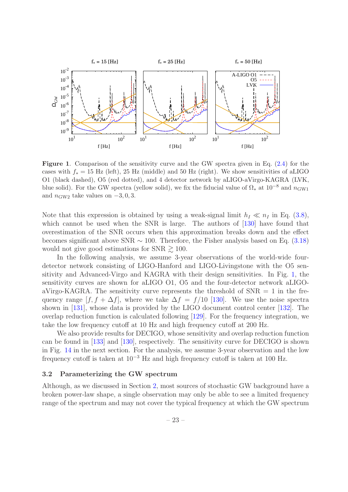

<span id="page-23-1"></span>Figure 1. Comparison of the sensitivity curve and the GW spectra given in Eq. [\(2.4\)](#page-3-2) for the cases with  $f_* = 15$  Hz (left), 25 Hz (middle) and 50 Hz (right). We show sensitivities of aLIGO O1 (black dashed), O5 (red dotted), and 4 detector network by aLIGO-aVirgo-KAGRA (LVK, blue solid). For the GW spectra (yellow solid), we fix the fiducial value of  $\Omega_*$  at  $10^{-8}$  and  $n_{\text{GW1}}$ and  $n_{\text{GW2}}$  take values on  $-3, 0, 3$ .

Note that this expression is obtained by using a weak-signal limit  $h_I \ll n_I$  in Eq. [\(3.8\)](#page-21-1), which cannot be used when the SNR is large. The authors of  $[130]$  have found that overestimation of the SNR occurs when this approximation breaks down and the effect becomes significant above SNR  $\sim$  100. Therefore, the Fisher analysis based on Eq. [\(3.18\)](#page-22-2) would not give good estimations for SNR  $\gtrsim$  100.

In the following analysis, we assume 3-year observations of the world-wide fourdetector network consisting of LIGO-Hanford and LIGO-Livingstone with the O5 sensitivity and Advanced-Virgo and KAGRA with their design sensitivities. In Fig. [1,](#page-23-1) the sensitivity curves are shown for aLIGO O1, O5 and the four-detector network aLIGOaVirgo-KAGRA. The sensitivity curve represents the threshold of  $SNR = 1$  in the frequency range  $[f, f + \Delta f]$ , where we take  $\Delta f = f/10$  [\[130\]](#page-47-16). We use the noise spectra shown in [\[131\]](#page-47-17), whose data is provided by the LIGO document control center [\[132\]](#page-47-18). The overlap reduction function is calculated following [\[129](#page-47-15)]. For the frequency integration, we take the low frequency cutoff at 10 Hz and high frequency cutoff at 200 Hz.

We also provide results for DECIGO, whose sensitivity and overlap reduction function can be found in [\[133\]](#page-47-19) and [\[130](#page-47-16)], respectively. The sensitivity curve for DECIGO is shown in Fig. [14](#page-35-1) in the next section. For the analysis, we assume 3-year observation and the low frequency cutoff is taken at  $10^{-3}$  Hz and high frequency cutoff is taken at 100 Hz.

#### <span id="page-23-0"></span>3.2 Parameterizing the GW spectrum

Although, as we discussed in Section [2,](#page-2-0) most sources of stochastic GW background have a broken power-law shape, a single observation may only be able to see a limited frequency range of the spectrum and may not cover the typical frequency at which the GW spectrum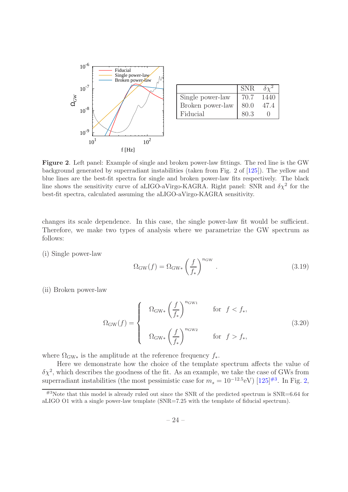

|                  | <b>SNR</b> |      |
|------------------|------------|------|
| Single power-law | 70.7       | 1440 |
| Broken power-law | 80.0       | 47.4 |
| Fiducial         | 80.3       |      |

<span id="page-24-1"></span>Figure 2. Left panel: Example of single and broken power-law fittings. The red line is the GW background generated by superradiant instabilities (taken from Fig. 2 of [\[125](#page-47-11)]). The yellow and blue lines are the best-fit spectra for single and broken power-law fits respectively. The black line shows the sensitivity curve of aLIGO-aVirgo-KAGRA. Right panel: SNR and  $\delta \chi^2$  for the best-fit spectra, calculated assuming the aLIGO-aVirgo-KAGRA sensitivity.

changes its scale dependence. In this case, the single power-law fit would be sufficient. Therefore, we make two types of analysis where we parametrize the GW spectrum as follows:

(i) Single power-law

<span id="page-24-2"></span>
$$
\Omega_{\rm GW}(f) = \Omega_{\rm GW*} \left(\frac{f}{f_*}\right)^{n_{\rm GW}}.\tag{3.19}
$$

(ii) Broken power-law

<span id="page-24-3"></span>
$$
\Omega_{\rm GW}(f) = \begin{cases} \Omega_{\rm GW*} \left(\frac{f}{f_*}\right)^{n_{\rm GW1}} & \text{for } f < f_*,\\ \Omega_{\rm GW*} \left(\frac{f}{f_*}\right)^{n_{\rm GW2}} & \text{for } f > f_*, \end{cases}
$$
(3.20)

where  $\Omega_{\text{GW}*}$  is the amplitude at the reference frequency  $f_*$ .

Here we demonstrate how the choice of the template spectrum affects the value of  $\delta \chi^2$ , which describes the goodness of the fit. As an example, we take the case of GWs from superradiant instabilities (the most pessimistic case for  $m_s = 10^{-12.5}$ eV) [\[125](#page-47-11)]<sup>[#3](#page-24-0)</sup>. In Fig. [2,](#page-24-1)

<span id="page-24-0"></span> $^{#3}$ Note that this model is already ruled out since the SNR of the predicted spectrum is SNR=6.64 for aLIGO O1 with a single power-law template (SNR=7.25 with the template of fiducial spectrum).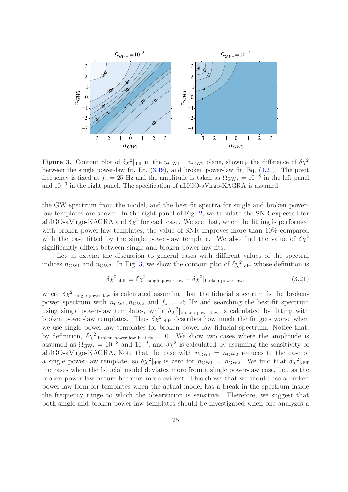

<span id="page-25-0"></span>**Figure 3.** Contour plot of  $\delta \chi^2|_{\text{diff}}$  in the  $n_{\text{GW1}} - n_{\text{GW2}}$  plane, showing the difference of  $\delta \chi^2$ between the single power-law fit, Eq. [\(3.19\)](#page-24-2), and broken power-law fit, Eq. [\(3.20\)](#page-24-3). The pivot frequency is fixed at  $f_* = 25$  Hz and the amplitude is taken as  $\Omega_{\rm GW*} = 10^{-8}$  in the left panel and 10−<sup>9</sup> in the right panel. The specification of aLIGO-aVirgo-KAGRA is assumed.

the GW spectrum from the model, and the best-fit spectra for single and broken powerlaw templates are shown. In the right panel of Fig. [2,](#page-24-1) we tabulate the SNR expected for aLIGO-aVirgo-KAGRA and  $\delta \chi^2$  for each case. We see that, when the fitting is performed with broken power-law templates, the value of SNR improves more than  $10\%$  compared with the case fitted by the single power-law template. We also find the value of  $\delta \chi^2$ significantly differs between single and broken power-law fits.

Let us extend the discussion to general cases with different values of the spectral indices  $n_{\text{GW1}}$  and  $n_{\text{GW2}}$ . In Fig. [3,](#page-25-0) we show the contour plot of  $\delta \chi^2|_{\text{diff}}$  whose definition is

$$
\delta \chi^2|_{\text{diff}} \equiv \delta \chi^2|_{\text{single power-law}} - \delta \chi^2|_{\text{broken power-law}},\tag{3.21}
$$

where  $\delta \chi^2|_{\text{single power-law}}$  is calculated assuming that the fiducial spectrum is the brokenpower spectrum with  $n_{\text{GW1}}$ ,  $n_{\text{GW2}}$  and  $f_* = 25$  Hz and searching the best-fit spectrum using single power-law templates, while  $\delta \chi^2$  broken power-law is calculated by fitting with broken power-law templates. Thus  $\delta \chi^2|_{\text{diff}}$  describes how much the fit gets worse when we use single power-law templates for broken power-law fiducial spectrum. Notice that, by definition,  $\delta \chi^2$  broken power-law best-fit = 0. We show two cases where the amplitude is assumed as  $\Omega_{\rm GW*} = 10^{-8}$  and  $10^{-9}$ , and  $\delta \chi^2$  is calculated by assuming the sensitivity of aLIGO-aVirgo-KAGRA. Note that the case with  $n_{\text{GW1}} = n_{\text{GW2}}$  reduces to the case of a single power-law template, so  $\delta \chi^2|_{\text{diff}}$  is zero for  $n_{\text{GW1}} = n_{\text{GW2}}$ . We find that  $\delta \chi^2|_{\text{diff}}$ increases when the fiducial model deviates more from a single power-law case, i.e., as the broken power-law nature becomes more evident. This shows that we should use a broken power-law form for templates when the actual model has a break in the spectrum inside the frequency range to which the observation is sensitive. Therefore, we suggest that both single and broken power-law templates should be investigated when one analyzes a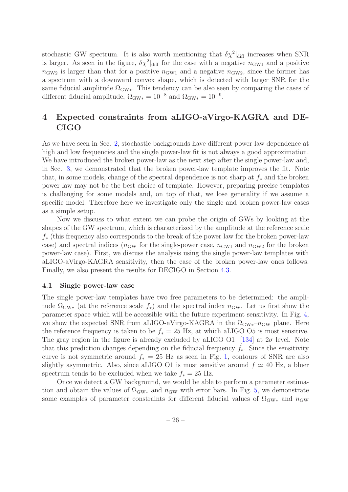stochastic GW spectrum. It is also worth mentioning that  $\delta \chi^2|_{\text{diff}}$  increases when SNR is larger. As seen in the figure,  $\delta \chi^2|_{\text{diff}}$  for the case with a negative  $n_{\text{GW1}}$  and a positive  $n_{\text{GW2}}$  is larger than that for a positive  $n_{\text{GW1}}$  and a negative  $n_{\text{GW2}}$ , since the former has a spectrum with a downward convex shape, which is detected with larger SNR for the same fiducial amplitude  $\Omega_{\rm GW*}$ . This tendency can be also seen by comparing the cases of different fiducial amplitude,  $\Omega_{\text{GW}*} = 10^{-8}$  and  $\Omega_{\text{GW}*} = 10^{-9}$ .

# <span id="page-26-0"></span>4 Expected constraints from aLIGO-aVirgo-KAGRA and DE-CIGO

As we have seen in Sec. [2,](#page-2-0) stochastic backgrounds have different power-law dependence at high and low frequencies and the single power-law fit is not always a good approximation. We have introduced the broken power-law as the next step after the single power-law and, in Sec. [3,](#page-20-0) we demonstrated that the broken power-law template improves the fit. Note that, in some models, change of the spectral dependence is not sharp at  $f_*$  and the broken power-law may not be the best choice of template. However, preparing precise templates is challenging for some models and, on top of that, we lose generality if we assume a specific model. Therefore here we investigate only the single and broken power-law cases as a simple setup.

Now we discuss to what extent we can probe the origin of GWs by looking at the shapes of the GW spectrum, which is characterized by the amplitude at the reference scale  $f_{*}$  (this frequency also corresponds to the break of the power law for the broken power-law case) and spectral indices ( $n_{\rm GW}$  for the single-power case,  $n_{\rm GW1}$  and  $n_{\rm GW2}$  for the broken power-law case). First, we discuss the analysis using the single power-law templates with aLIGO-aVirgo-KAGRA sensitivity, then the case of the broken power-law ones follows. Finally, we also present the results for DECIGO in Section [4.3.](#page-35-0)

#### <span id="page-26-1"></span>4.1 Single power-law case

The single power-law templates have two free parameters to be determined: the amplitude  $\Omega_{\rm GW*}$  (at the reference scale  $f_*$ ) and the spectral index  $n_{\rm GW}$ . Let us first show the parameter space which will be accessible with the future experiment sensitivity. In Fig. [4,](#page-27-0) we show the expected SNR from aLIGO-aVirgo-KAGRA in the  $\Omega_{\rm GW*}$ – $n_{\rm GW}$  plane. Here the reference frequency is taken to be  $f_* = 25$  Hz, at which aLIGO O5 is most sensitive. The gray region in the figure is already excluded by aLIGO O1 [\[134](#page-47-20)] at  $2\sigma$  level. Note that this prediction changes depending on the fiducial frequency  $f_*$ . Since the sensitivity curve is not symmetric around  $f_* = 25$  Hz as seen in Fig. [1,](#page-23-1) contours of SNR are also slightly asymmetric. Also, since aLIGO O1 is most sensitive around  $f \simeq 40$  Hz, a bluer spectrum tends to be excluded when we take  $f_* = 25$  Hz.

Once we detect a GW background, we would be able to perform a parameter estimation and obtain the values of  $\Omega_{\rm GW*}$  and  $n_{\rm GW}$  with error bars. In Fig. [5,](#page-28-0) we demonstrate some examples of parameter constraints for different fiducial values of  $\Omega_{\rm GW*}$  and  $n_{\rm GW}$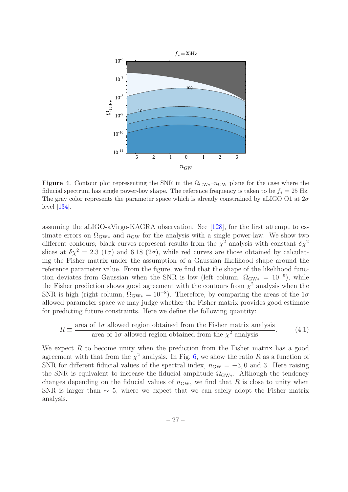

<span id="page-27-0"></span>Figure 4. Contour plot representing the SNR in the  $\Omega_{\rm GW*}$ – $n_{\rm GW}$  plane for the case where the fiducial spectrum has single power-law shape. The reference frequency is taken to be  $f_* = 25$  Hz. The gray color represents the parameter space which is already constrained by aLIGO O1 at  $2\sigma$ level [\[134](#page-47-20)].

assuming the aLIGO-aVirgo-KAGRA observation. See [\[128](#page-47-14)], for the first attempt to estimate errors on  $\Omega_{\rm GW*}$  and  $n_{\rm GW}$  for the analysis with a single power-law. We show two different contours; black curves represent results from the  $\chi^2$  analysis with constant  $\delta \chi^2$ slices at  $\delta \chi^2 = 2.3$  (1 $\sigma$ ) and 6.18 (2 $\sigma$ ), while red curves are those obtained by calculating the Fisher matrix under the assumption of a Gaussian likelihood shape around the reference parameter value. From the figure, we find that the shape of the likelihood function deviates from Gaussian when the SNR is low (left column,  $\Omega_{\rm GW*} = 10^{-9}$ ), while the Fisher prediction shows good agreement with the contours from  $\chi^2$  analysis when the SNR is high (right column,  $\Omega_{\text{GW}*} = 10^{-8}$ ). Therefore, by comparing the areas of the  $1\sigma$ allowed parameter space we may judge whether the Fisher matrix provides good estimate for predicting future constraints. Here we define the following quantity:

<span id="page-27-1"></span>
$$
R \equiv \frac{\text{area of } 1\sigma \text{ allowed region obtained from the Fisher matrix analysis}}{\text{area of } 1\sigma \text{ allowed region obtained from the } \chi^2 \text{ analysis}}.
$$
 (4.1)

We expect  $R$  to become unity when the prediction from the Fisher matrix has a good agreement with that from the  $\chi^2$  analysis. In Fig. [6,](#page-29-0) we show the ratio R as a function of SNR for different fiducial values of the spectral index,  $n_{GW} = -3, 0$  and 3. Here raising the SNR is equivalent to increase the fiducial amplitude  $\Omega_{\rm GW*}$ . Although the tendency changes depending on the fiducial values of  $n_{GW}$ , we find that R is close to unity when SNR is larger than  $\sim$  5, where we expect that we can safely adopt the Fisher matrix analysis.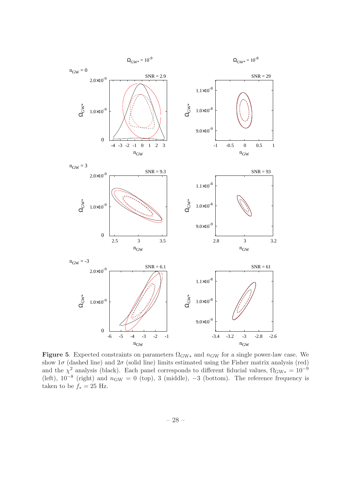

<span id="page-28-0"></span>Figure 5. Expected constraints on parameters  $\Omega_{\rm GW*}$  and  $n_{\rm GW}$  for a single power-law case. We show  $1\sigma$  (dashed line) and  $2\sigma$  (solid line) limits estimated using the Fisher matrix analysis (red) and the  $\chi^2$  analysis (black). Each panel corresponds to different fiducial values,  $\Omega_{\rm GW*} = 10^{-9}$ (left),  $10^{-8}$  (right) and  $n_{\text{GW}} = 0$  (top), 3 (middle),  $-3$  (bottom). The reference frequency is taken to be  $f_* = 25$  Hz.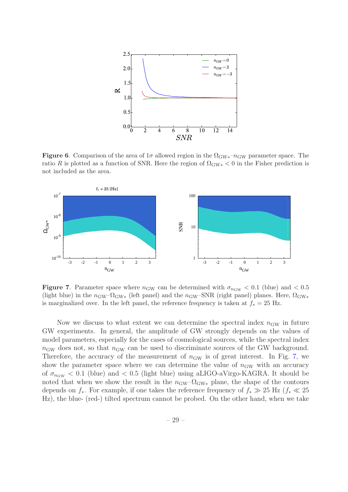

<span id="page-29-0"></span>**Figure 6.** Comparison of the area of  $1\sigma$  allowed region in the  $\Omega_{\rm GW*}$ – $n_{\rm GW}$  parameter space. The ratio R is plotted as a function of SNR. Here the region of  $\Omega_{\rm GW*}$  < 0 in the Fisher prediction is not included as the area.



<span id="page-29-1"></span>**Figure 7.** Parameter space where  $n_{GW}$  can be determined with  $\sigma_{n_{GW}} < 0.1$  (blue) and  $< 0.5$ (light blue) in the  $n_{\text{GW}}$ – $\Omega_{\text{GW}}$  (left panel) and the  $n_{\text{GW}}$ –SNR (right panel) planes. Here,  $\Omega_{\text{GW}}$ is marginalized over. In the left panel, the reference frequency is taken at  $f_* = 25$  Hz.

Now we discuss to what extent we can determine the spectral index  $n_{\rm GW}$  in future GW experiments. In general, the amplitude of GW strongly depends on the values of model parameters, especially for the cases of cosmological sources, while the spectral index  $n_{\rm GW}$  does not, so that  $n_{\rm GW}$  can be used to discriminate sources of the GW background. Therefore, the accuracy of the measurement of  $n_{GW}$  is of great interest. In Fig. [7,](#page-29-1) we show the parameter space where we can determine the value of  $n_{GW}$  with an accuracy of  $\sigma_{n_{\text{GW}}}$  < 0.1 (blue) and < 0.5 (light blue) using aLIGO-aVirgo-KAGRA. It should be noted that when we show the result in the  $n_{\text{GW}}-\Omega_{\text{GW}*}$  plane, the shape of the contours depends on  $f_*$ . For example, if one takes the reference frequency of  $f_* \gg 25$  Hz ( $f_* \ll 25$ Hz), the blue- (red-) tilted spectrum cannot be probed. On the other hand, when we take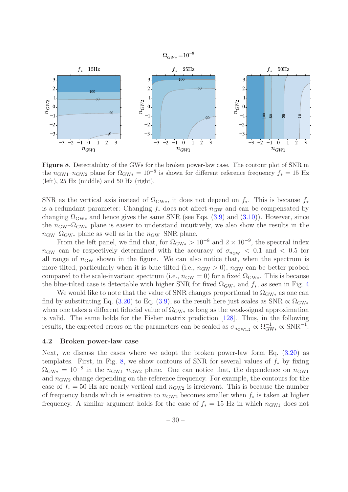



<span id="page-30-1"></span>Figure 8. Detectability of the GWs for the broken power-law case. The contour plot of SNR in the  $n_{\text{GW1}}-n_{\text{GW2}}$  plane for  $\Omega_{\text{GW}*} = 10^{-8}$  is shown for different reference frequency  $f_* = 15 \text{ Hz}$ (left), 25 Hz (middle) and 50 Hz (right).

SNR as the vertical axis instead of  $\Omega_{\rm GW*}$ , it does not depend on  $f_*$ . This is because  $f_*$ is a redundant parameter: Changing  $f_*$  does not affect  $n_{GW}$  and can be compensated by changing  $\Omega_{\rm GW*}$  and hence gives the same SNR (see Eqs. [\(3.9\)](#page-21-4) and [\(3.10\)](#page-21-5)). However, since the  $n_{\text{GW}}-\Omega_{\text{GW}*}$  plane is easier to understand intuitively, we also show the results in the  $n_{\rm GW}$ – $\Omega_{\rm GW*}$  plane as well as in the  $n_{\rm GW}$ –SNR plane.

From the left panel, we find that, for  $\Omega_{\rm GW*} > 10^{-8}$  and  $2 \times 10^{-9}$ , the spectral index  $n_{\rm GW}$  can be respectively determined with the accuracy of  $\sigma_{n_{\rm GW}} < 0.1$  and  $< 0.5$  for all range of  $n_{\text{GW}}$  shown in the figure. We can also notice that, when the spectrum is more tilted, particularly when it is blue-tilted (i.e.,  $n_{GW} > 0$ ),  $n_{GW}$  can be better probed compared to the scale-invariant spectrum (i.e.,  $n_{\rm GW} = 0$ ) for a fixed  $\Omega_{\rm GW*}$ . This is because the blue-tilted case is detectable with higher SNR for fixed  $\Omega_{\rm GW*}$  and  $f_*$ , as seen in Fig. [4](#page-27-0)

We would like to note that the value of SNR changes proportional to  $\Omega_{\rm GW*}$  as one can find by substituting Eq. [\(3.20\)](#page-24-3) to Eq. [\(3.9\)](#page-21-4), so the result here just scales as SNR  $\propto \Omega_{\rm GW*}$ when one takes a different fiducial value of  $\Omega_{\rm GW*}$  as long as the weak-signal approximation is valid. The same holds for the Fisher matrix prediction [\[128](#page-47-14)]. Thus, in the following results, the expected errors on the parameters can be scaled as  $\sigma_{n_{\text{GW1,2}}} \propto \Omega_{\text{GW*}}^{-1} \propto \text{SNR}^{-1}$ .

#### <span id="page-30-0"></span>4.2 Broken power-law case

Next, we discuss the cases where we adopt the broken power-law form Eq. [\(3.20\)](#page-24-3) as templates. First, in Fig. [8,](#page-30-1) we show contours of SNR for several values of  $f_*$  by fixing  $\Omega_{\rm GW*} = 10^{-8}$  in the  $n_{\rm GW1}$ - $n_{\rm GW2}$  plane. One can notice that, the dependence on  $n_{\rm GW1}$ and  $n_{\text{GW2}}$  change depending on the reference frequency. For example, the contours for the case of  $f_* = 50$  Hz are nearly vertical and  $n_{\text{GW2}}$  is irrelevant. This is because the number of frequency bands which is sensitive to  $n_{\text{GW2}}$  becomes smaller when  $f_*$  is taken at higher frequency. A similar argument holds for the case of  $f_* = 15$  Hz in which  $n_{\text{GW1}}$  does not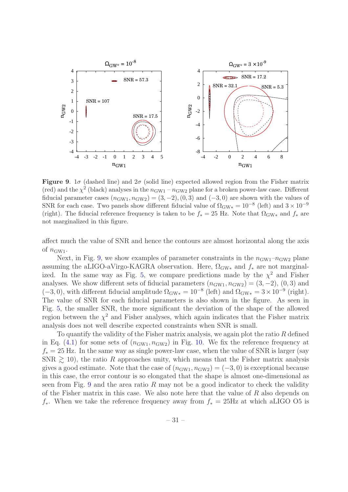

<span id="page-31-0"></span>Figure 9.  $1\sigma$  (dashed line) and  $2\sigma$  (solid line) expected allowed region from the Fisher matrix (red) and the  $\chi^2$  (black) analyses in the  $n_{\text{GW1}} - n_{\text{GW2}}$  plane for a broken power-law case. Different fiducial parameter cases  $(n_{\text{GW1}}, n_{\text{GW2}}) = (3, -2), (0, 3)$  and  $(-3, 0)$  are shown with the values of SNR for each case. Two panels show different fiducial value of  $\Omega_{\rm GW*} = 10^{-8}$  (left) and  $3 \times 10^{-9}$ (right). The fiducial reference frequency is taken to be  $f_* = 25$  Hz. Note that  $\Omega_{\rm GW*}$  and  $f_*$  are not marginalized in this figure.

affect much the value of SNR and hence the contours are almost horizontal along the axis of  $n_{\text{GW1}}$ .

Next, in Fig. [9,](#page-31-0) we show examples of parameter constraints in the  $n_{\text{GW1}}-n_{\text{GW2}}$  plane assuming the aLIGO-aVirgo-KAGRA observation. Here,  $\Omega_{\rm GW*}$  and  $f_*$  are not marginal-ized. In the same way as Fig. [5,](#page-28-0) we compare predictions made by the  $\chi^2$  and Fisher analyses. We show different sets of fiducial parameters  $(n_{GW1}, n_{GW2}) = (3, -2), (0, 3)$  and  $(-3, 0)$ , with different fiducial amplitude  $\Omega_{\text{GW}*} = 10^{-8}$  (left) and  $\Omega_{\text{GW}*} = 3 \times 10^{-9}$  (right). The value of SNR for each fiducial parameters is also shown in the figure. As seen in Fig. [5,](#page-28-0) the smaller SNR, the more significant the deviation of the shape of the allowed region between the  $\chi^2$  and Fisher analyses, which again indicates that the Fisher matrix analysis does not well describe expected constraints when SNR is small.

To quantify the validity of the Fisher matrix analysis, we again plot the ratio R defined in Eq. [\(4.1\)](#page-27-1) for some sets of  $(n_{\text{GW1}}, n_{\text{GW2}})$  in Fig. [10.](#page-32-0) We fix the reference frequency at  $f_* = 25$  Hz. In the same way as single power-law case, when the value of SNR is larger (say  $SNR \geq 10$ , the ratio R approaches unity, which means that the Fisher matrix analysis gives a good estimate. Note that the case of  $(n_{GW1}, n_{GW2}) = (-3, 0)$  is exceptional because in this case, the error contour is so elongated that the shape is almost one-dimensional as seen from Fig. [9](#page-31-0) and the area ratio R may not be a good indicator to check the validity of the Fisher matrix in this case. We also note here that the value of  $R$  also depends on f<sup>\*</sup>. When we take the reference frequency away from  $f^* = 25\text{Hz}$  at which aLIGO O5 is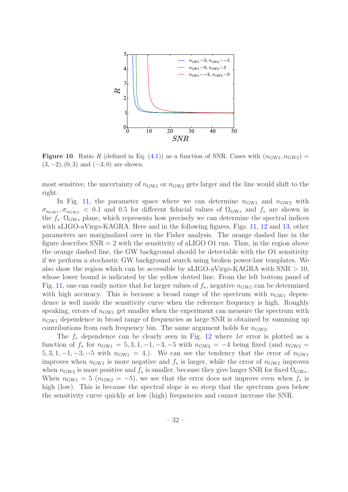

<span id="page-32-0"></span>**Figure 10.** Ratio R (defined in Eq. [\(4.1\)](#page-27-1)) as a function of SNR. Cases with  $(n_{\text{GW1}}, n_{\text{GW2}})$  =  $(3, -2), (0, 3)$  and  $(-3, 0)$  are shown.

most sensitive, the uncertainty of  $n_{\text{GW1}}$  or  $n_{\text{GW2}}$  gets larger and the line would shift to the right.

In Fig. [11,](#page-33-0) the parameter space where we can determine  $n_{\text{GW1}}$  and  $n_{\text{GW2}}$  with  $\sigma_{n_{\text{GW}_1}}, \sigma_{n_{\text{GW}_2}}$  < 0.1 and 0.5 for different fiducial values of  $\Omega_{\text{GW}_*}$  and  $f_*$  are shown in the  $f_*$ – $\Omega_{\text{GW}*}$  plane, which represents how precisely we can determine the spectral indices with aLIGO-aVirgo-KAGRA. Here and in the following figures, Figs. [11,](#page-33-0) [12](#page-34-0) and [13,](#page-35-2) other parameters are marginalized over in the Fisher analysis. The orange dashed line in the figure describes  $SNR = 2$  with the sensitivity of aLIGO O1 run. Thus, in the region above the orange dashed line, the GW background should be detectable with the O1 sensitivity if we perform a stochastic GW background search using broken power-law templates. We also show the region which can be accessible by aLIGO-aVirgo-KAGRA with  $SNR > 10$ , whose lower bound is indicated by the yellow dotted line. From the left bottom panel of Fig. [11,](#page-33-0) one can easily notice that for larger values of  $f_*$ , negative  $n_{\text{GW1}}$  can be determined with high accuracy. This is because a broad range of the spectrum with  $n_{\text{GW1}}$  dependence is well inside the sensitivity curve when the reference frequency is high. Roughly speaking, errors of  $n_{\text{GW1}}$  get smaller when the experiment can measure the spectrum with  $n_{\text{GW1}}$  dependence in broad range of frequencies as large SNR is obtained by summing up contributions from each frequency bin. The same argument holds for  $n_{\text{GW2}}$ .

The  $f_*$  dependence can be clearly seen in Fig. [12](#page-34-0) where  $1\sigma$  error is plotted as a function of  $f_*$  for  $n_{\text{GW1}} = 5, 3, 1, -1, -3, -5$  with  $n_{\text{GW2}} = -4$  being fixed (and  $n_{\text{GW2}} =$  $5, 3, 1, -1, -3, -5$  with  $n_{\text{GW1}} = 4$ .). We can see the tendency that the error of  $n_{\text{GW1}}$ improves when  $n_{\text{GW1}}$  is more negative and  $f_*$  is larger, while the error of  $n_{\text{GW2}}$  improves when  $n_{\text{GW2}}$  is more positive and  $f_*$  is smaller, because they give larger SNR for fixed  $\Omega_{\text{GW}*}$ . When  $n_{\text{GW1}} = 5$  ( $n_{\text{GW2}} = -5$ ), we see that the error does not improve even when  $f_*$  is high (low). This is because the spectral slope is so steep that the spectrum goes below the sensitivity curve quickly at low (high) frequencies and cannot increase the SNR.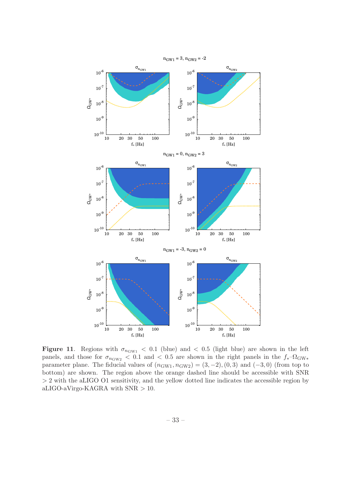

<span id="page-33-0"></span>Figure 11. Regions with  $\sigma_{n_{\text{GW1}}}$  < 0.1 (blue) and < 0.5 (light blue) are shown in the left panels, and those for  $\sigma_{n_{\text{GW2}}}$  < 0.1 and < 0.5 are shown in the right panels in the  $f_*$ - $\Omega_{\text{GW*}}$ parameter plane. The fiducial values of  $(n_{GW1}, n_{GW2}) = (3, -2), (0, 3)$  and  $(-3, 0)$  (from top to bottom) are shown. The region above the orange dashed line should be accessible with SNR > 2 with the aLIGO O1 sensitivity, and the yellow dotted line indicates the accessible region by aLIGO-aVirgo-KAGRA with SNR > 10.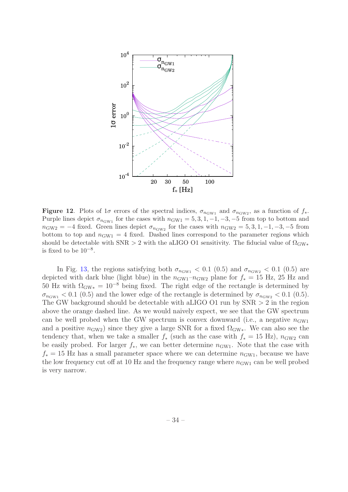

<span id="page-34-0"></span>**Figure 12.** Plots of  $1\sigma$  errors of the spectral indices,  $\sigma_{n_{\text{GW1}}}$  and  $\sigma_{n_{\text{GW2}}}$ , as a function of  $f_*$ . Purple lines depict  $\sigma_{n_{\text{GW1}}}$  for the cases with  $n_{\text{GW1}} = 5, 3, 1, -1, -3, -5$  from top to bottom and  $n_{\text{GW2}} = -4$  fixed. Green lines depict  $\sigma_{n_{\text{GW2}}}$  for the cases with  $n_{\text{GW2}} = 5, 3, 1, -1, -3, -5$  from bottom to top and  $n_{\text{GW1}} = 4$  fixed. Dashed lines correspond to the parameter regions which should be detectable with SNR > 2 with the aLIGO O1 sensitivity. The fiducial value of  $\Omega_{\rm GW*}$ is fixed to be  $10^{-8}$ .

In Fig. [13,](#page-35-2) the regions satisfying both  $\sigma_{n_{\text{GW1}}}$  < 0.1 (0.5) and  $\sigma_{n_{\text{GW2}}}$  < 0.1 (0.5) are depicted with dark blue (light blue) in the  $n_{\text{GW1}}-n_{\text{GW2}}$  plane for  $f_* = 15$  Hz, 25 Hz and 50 Hz with  $\Omega_{\rm GW*} = 10^{-8}$  being fixed. The right edge of the rectangle is determined by  $\sigma_{n_{\text{GW1}}}$  < 0.1 (0.5) and the lower edge of the rectangle is determined by  $\sigma_{n_{\text{GW2}}}$  < 0.1 (0.5). The GW background should be detectable with aLIGO O1 run by SNR > 2 in the region above the orange dashed line. As we would naively expect, we see that the GW spectrum can be well probed when the GW spectrum is convex downward (i.e., a negative  $n_{\text{GW1}}$ and a positive  $n_{\text{GW2}}$ ) since they give a large SNR for a fixed  $\Omega_{\text{GW}*}$ . We can also see the tendency that, when we take a smaller  $f_*$  (such as the case with  $f_* = 15$  Hz),  $n_{\text{GW2}}$  can be easily probed. For larger  $f_*$ , we can better determine  $n_{\text{GW1}}$ . Note that the case with  $f_* = 15$  Hz has a small parameter space where we can determine  $n_{\text{GW1}}$ , because we have the low frequency cut off at 10 Hz and the frequency range where  $n_{\text{GW1}}$  can be well probed is very narrow.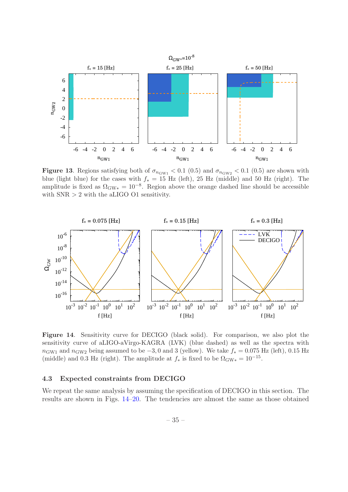

<span id="page-35-2"></span>Figure 13. Regions satisfying both of  $\sigma_{n_{\text{GW1}}}$  < 0.1 (0.5) and  $\sigma_{n_{\text{GW2}}}$  < 0.1 (0.5) are shown with blue (light blue) for the cases with  $f_* = 15$  Hz (left), 25 Hz (middle) and 50 Hz (right). The amplitude is fixed as  $\Omega_{\rm GW*} = 10^{-8}$ . Region above the orange dashed line should be accessible with  $SNR > 2$  with the aLIGO O1 sensitivity.



<span id="page-35-1"></span>Figure 14. Sensitivity curve for DECIGO (black solid). For comparison, we also plot the sensitivity curve of aLIGO-aVirgo-KAGRA (LVK) (blue dashed) as well as the spectra with  $n_{\text{GW1}}$  and  $n_{\text{GW2}}$  being assumed to be  $-3, 0$  and 3 (yellow). We take  $f_* = 0.075$  Hz (left), 0.15 Hz (middle) and 0.3 Hz (right). The amplitude at  $f_*$  is fixed to be  $\Omega_{\text{GW}*} = 10^{-15}$ .

#### <span id="page-35-0"></span>4.3 Expected constraints from DECIGO

We repeat the same analysis by assuming the specification of DECIGO in this section. The results are shown in Figs. [14](#page-35-1)[–20.](#page-41-0) The tendencies are almost the same as those obtained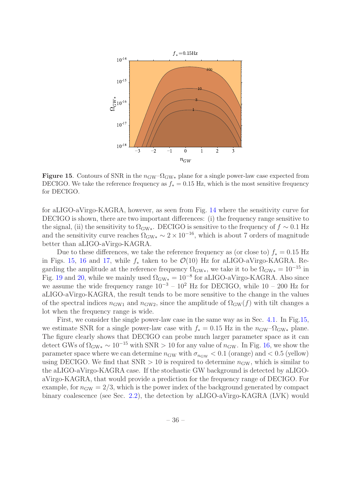

<span id="page-36-0"></span>**Figure 15.** Contours of SNR in the  $n_{\text{GW}}$ - $\Omega_{\text{GW}*}$  plane for a single power-law case expected from DECIGO. We take the reference frequency as  $f_* = 0.15$  Hz, which is the most sensitive frequency for DECIGO.

for aLIGO-aVirgo-KAGRA, however, as seen from Fig. [14](#page-35-1) where the sensitivity curve for DECIGO is shown, there are two important differences: (i) the frequency range sensitive to the signal, (ii) the sensitivity to  $\Omega_{\rm GW*}$ . DECIGO is sensitive to the frequency of  $f \sim 0.1$  Hz and the sensitivity curve reaches  $\Omega_{\rm GW*} \sim 2 \times 10^{-16}$ , which is about 7 orders of magnitude better than aLIGO-aVirgo-KAGRA.

Due to these differences, we take the reference frequency as (or close to)  $f_* = 0.15$  Hz in Figs. [15,](#page-36-0) [16](#page-37-0) and [17,](#page-38-1) while  $f_*$  taken to be  $\mathcal{O}(10)$  Hz for aLIGO-aVirgo-KAGRA. Regarding the amplitude at the reference frequency  $\Omega_{\rm GW*}$ , we take it to be  $\Omega_{\rm GW*} = 10^{-15}$  in Fig. [19](#page-40-0) and [20,](#page-41-0) while we mainly used  $\Omega_{\rm GW*} = 10^{-8}$  for aLIGO-aVirgo-KAGRA. Also since we assume the wide frequency range  $10^{-3} - 10^2$  Hz for DECIGO, while  $10 - 200$  Hz for aLIGO-aVirgo-KAGRA, the result tends to be more sensitive to the change in the values of the spectral indices  $n_{\text{GW1}}$  and  $n_{\text{GW2}}$ , since the amplitude of  $\Omega_{\text{GW}}(f)$  with tilt changes a lot when the frequency range is wide.

First, we consider the single power-law case in the same way as in Sec. [4.1.](#page-26-1) In Fig[.15,](#page-36-0) we estimate SNR for a single power-law case with  $f_* = 0.15$  Hz in the  $n_{\text{GW}}-\Omega_{\text{GW}*}$  plane. The figure clearly shows that DECIGO can probe much larger parameter space as it can detect GWs of  $\Omega_{\text{GW}*} \sim 10^{-15}$  with SNR > 10 for any value of  $n_{\text{GW}}$ . In Fig. [16,](#page-37-0) we show the parameter space where we can determine  $n_{GW}$  with  $\sigma_{n_{GW}} < 0.1$  (orange) and  $< 0.5$  (yellow) using DECIGO. We find that  $SNR > 10$  is required to determine  $n_{GW}$ , which is similar to the aLIGO-aVirgo-KAGRA case. If the stochastic GW background is detected by aLIGOaVirgo-KAGRA, that would provide a prediction for the frequency range of DECIGO. For example, for  $n_{\rm GW} = 2/3$ , which is the power index of the background generated by compact binary coalescence (see Sec. [2.2\)](#page-16-0), the detection by aLIGO-aVirgo-KAGRA (LVK) would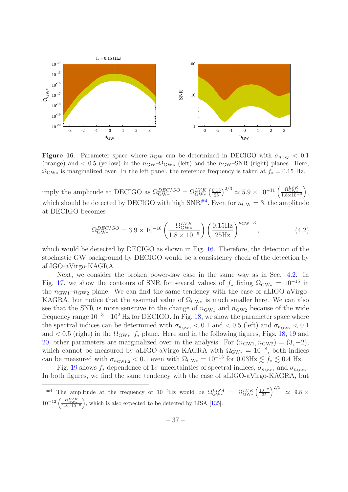

<span id="page-37-0"></span>**Figure 16.** Parameter space where  $n_{GW}$  can be determined in DECIGO with  $\sigma_{n_{GW}} < 0.1$ (orange) and < 0.5 (yellow) in the  $n_{\text{GW}}$ - $\Omega_{\text{GW}}$  (left) and the  $n_{\text{GW}}$ -SNR (right) planes. Here,  $\Omega_{\rm GW*}$  is marginalized over. In the left panel, the reference frequency is taken at  $f_* = 0.15$  Hz.

imply the amplitude at DECIGO as  $\Omega_{\text{GW*}}^{DECIGO} = \Omega_{\text{GW*}}^{LVK} \left(\frac{0.15}{25}\right)^{2/3} \approx 5.9 \times 10^{-11} \left(\frac{\Omega_{\text{GW*}}^{LVK}}{1.8 \times 10^{-9}}\right),$ which should be detected by DECIGO with high  $SNR^{\#4}$  $SNR^{\#4}$  $SNR^{\#4}$ . Even for  $n_{GW} = 3$ , the amplitude at DECIGO becomes

$$
\Omega_{\text{GW*}}^{DECIGO} = 3.9 \times 10^{-16} \left( \frac{\Omega_{\text{GW*}}^{LVK}}{1.8 \times 10^{-9}} \right) \left( \frac{0.15 \text{Hz}}{25 \text{Hz}} \right)^{n_{\text{GW}}-3},\tag{4.2}
$$

which would be detected by DECIGO as shown in Fig. [16.](#page-37-0) Therefore, the detection of the stochastic GW background by DECIGO would be a consistency check of the detection by aLIGO-aVirgo-KAGRA.

Next, we consider the broken power-law case in the same way as in Sec. [4.2.](#page-30-0) In Fig. [17,](#page-38-1) we show the contours of SNR for several values of  $f_*$  fixing  $\Omega_{\text{GW}*} = 10^{-15}$  in the  $n_{\text{GW1}}-n_{\text{GW2}}$  plane. We can find the same tendency with the case of aLIGO-aVirgo-KAGRA, but notice that the assumed value of  $\Omega_{\rm GW*}$  is much smaller here. We can also see that the SNR is more sensitive to the change of  $n_{\text{GW1}}$  and  $n_{\text{GW2}}$  because of the wide frequency range  $10^{-3} - 10^2$  Hz for DECIGO. In Fig. [18,](#page-39-0) we show the parameter space where the spectral indices can be determined with  $\sigma_{n_{\text{GW1}}}$  < 0.1 and < 0.5 (left) and  $\sigma_{n_{\text{GW2}}}$  < 0.1 and  $< 0.5$  (right) in the  $\Omega_{\rm GW^*}$ - $f_*$  plane. Here and in the following figures, Figs. [18,](#page-39-0) [19](#page-40-0) and [20,](#page-41-0) other parameters are marginalized over in the analysis. For  $(n_{\text{GW1}}, n_{\text{GW2}}) = (3, -2)$ , which cannot be measured by aLIGO-aVirgo-KAGRA with  $\Omega_{\rm GW*} = 10^{-8}$ , both indices can be measured with  $\sigma_{n_{\text{GW1.2}}}$  < 0.1 even with  $\Omega_{\text{GW*}} = 10^{-13}$  for  $0.03 \text{Hz} \lesssim f_* \lesssim 0.4 \text{ Hz}$ .

Fig. [19](#page-40-0) shows  $f_*$  dependence of 1 $\sigma$  uncertainties of spectral indices,  $\sigma_{n_{\text{GW1}}}$  and  $\sigma_{n_{\text{GW2}}}$ . In both figures, we find the same tendency with the case of aLIGO-aVirgo-KAGRA, but

<span id="page-37-1"></span><sup>&</sup>lt;sup>#4</sup> The amplitude at the frequency of  $10^{-2}$ Hz would be  $\Omega_{\text{GW*}}^{LISA} = \Omega_{\text{GW*}}^{LVK} \left(\frac{10^{-2}}{25}\right)^{2/3} \approx 9.8 \times$  $10^{-12} \left( \frac{\Omega_{\text{GW}}^{V K}}{1.8 \times 10^{-9}} \right)$ , which is also expected to be detected by LISA [\[135\]](#page-48-0).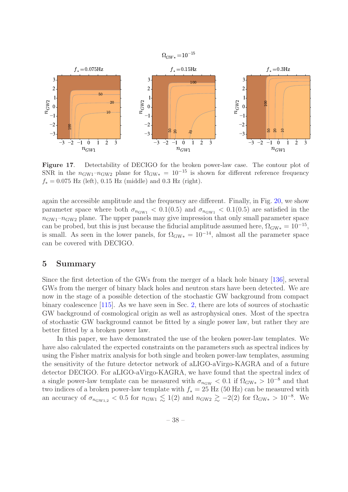

<span id="page-38-1"></span>Figure 17. Detectability of DECIGO for the broken power-law case. The contour plot of SNR in the  $n_{\text{GW1}}-n_{\text{GW2}}$  plane for  $\Omega_{\text{GW*}} = 10^{-15}$  is shown for different reference frequency  $f_* = 0.075$  Hz (left), 0.15 Hz (middle) and 0.3 Hz (right).

again the accessible amplitude and the frequency are different. Finally, in Fig. [20,](#page-41-0) we show parameter space where both  $\sigma_{n_{\text{GW1}}} < 0.1(0.5)$  and  $\sigma_{n_{\text{GW1}}} < 0.1(0.5)$  are satisfied in the  $n_{\text{GW1}}-n_{\text{GW2}}$  plane. The upper panels may give impression that only small parameter space can be probed, but this is just because the fiducial amplitude assumed here,  $\Omega_{\rm GW*} = 10^{-15}$ , is small. As seen in the lower panels, for  $\Omega_{\rm GW*} = 10^{-14}$ , almost all the parameter space can be covered with DECIGO.

# <span id="page-38-0"></span>5 Summary

Since the first detection of the GWs from the merger of a black hole binary [\[136](#page-48-1)], several GWs from the merger of binary black holes and neutron stars have been detected. We are now in the stage of a possible detection of the stochastic GW background from compact binary coalescence [\[115\]](#page-47-0). As we have seen in Sec. [2,](#page-2-0) there are lots of sources of stochastic GW background of cosmological origin as well as astrophysical ones. Most of the spectra of stochastic GW background cannot be fitted by a single power law, but rather they are better fitted by a broken power law.

In this paper, we have demonstrated the use of the broken power-law templates. We have also calculated the expected constraints on the parameters such as spectral indices by using the Fisher matrix analysis for both single and broken power-law templates, assuming the sensitivity of the future detector network of aLIGO-aVirgo-KAGRA and of a future detector DECIGO. For aLIGO-aVirgo-KAGRA, we have found that the spectral index of a single power-law template can be measured with  $\sigma_{n_{\rm GW}} < 0.1$  if  $\Omega_{\rm GW*} > 10^{-8}$  and that two indices of a broken power-law template with  $f_* = 25$  Hz (50 Hz) can be measured with an accuracy of  $\sigma_{n_{\text{GW1,2}}} < 0.5$  for  $n_{\text{GW1}} \lesssim 1(2)$  and  $n_{\text{GW2}} \gtrsim -2(2)$  for  $\Omega_{\text{GW*}} > 10^{-8}$ . We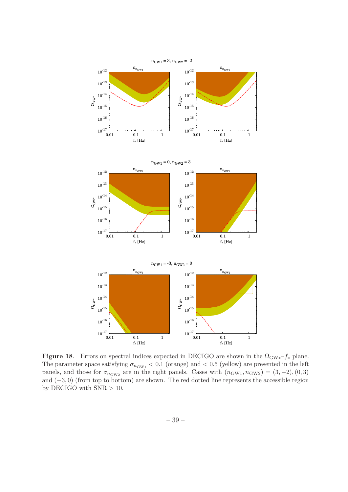

<span id="page-39-0"></span>Figure 18. Errors on spectral indices expected in DECIGO are shown in the  $\Omega_{\rm GW*}-f_*$  plane. The parameter space satisfying  $\sigma_{n_{\text{GW1}}}$  < 0.1 (orange) and < 0.5 (yellow) are presented in the left panels, and those for  $\sigma_{n_{\text{GW2}}}$  are in the right panels. Cases with  $(n_{\text{GW1}}, n_{\text{GW2}}) = (3, -2), (0, 3)$ and (−3, 0) (from top to bottom) are shown. The red dotted line represents the accessible region by DECIGO with  $SNR > 10$ .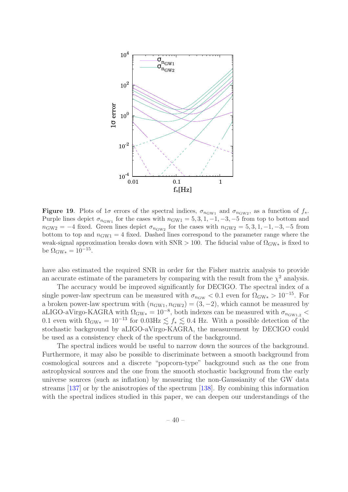

<span id="page-40-0"></span>**Figure 19.** Plots of  $1\sigma$  errors of the spectral indices,  $\sigma_{n_{\text{GW1}}}$  and  $\sigma_{n_{\text{GW2}}}$ , as a function of  $f_*$ . Purple lines depict  $\sigma_{n_{\text{GW1}}}$  for the cases with  $n_{\text{GW1}} = 5, 3, 1, -1, -3, -5$  from top to bottom and  $n_{\text{GW2}} = -4$  fixed. Green lines depict  $\sigma_{n_{\text{GW2}}}$  for the cases with  $n_{\text{GW2}} = 5, 3, 1, -1, -3, -5$  from bottom to top and  $n_{\text{GW1}} = 4$  fixed. Dashed lines correspond to the parameter range where the weak-signal approximation breaks down with  $SNR > 100$ . The fiducial value of  $\Omega_{GW*}$  is fixed to be  $Ω_{\text{GW}*} = 10^{-15}$ .

have also estimated the required SNR in order for the Fisher matrix analysis to provide an accurate estimate of the parameters by comparing with the result from the  $\chi^2$  analysis.

The accuracy would be improved significantly for DECIGO. The spectral index of a single power-law spectrum can be measured with  $\sigma_{n_{\text{GW}}}$  < 0.1 even for  $\Omega_{\text{GW}} > 10^{-15}$ . For a broken power-law spectrum with  $(n_{\text{GW1}}, n_{\text{GW2}}) = (3, -2)$ , which cannot be measured by aLIGO-aVirgo-KAGRA with  $\Omega_{\rm GW*} = 10^{-8}$ , both indexes can be measured with  $\sigma_{n_{\rm GW1,2}}$  < 0.1 even with  $\Omega_{\rm GW*} = 10^{-13}$  for 0.03Hz  $\lesssim f_* \lesssim 0.4$  Hz. With a possible detection of the stochastic background by aLIGO-aVirgo-KAGRA, the measurement by DECIGO could be used as a consistency check of the spectrum of the background.

The spectral indices would be useful to narrow down the sources of the background. Furthermore, it may also be possible to discriminate between a smooth background from cosmological sources and a discrete "popcorn-type" background such as the one from astrophysical sources and the one from the smooth stochastic background from the early universe sources (such as inflation) by measuring the non-Gaussianity of the GW data streams [\[137\]](#page-48-2) or by the anisotropies of the spectrum [\[138\]](#page-48-3). By combining this information with the spectral indices studied in this paper, we can deepen our understandings of the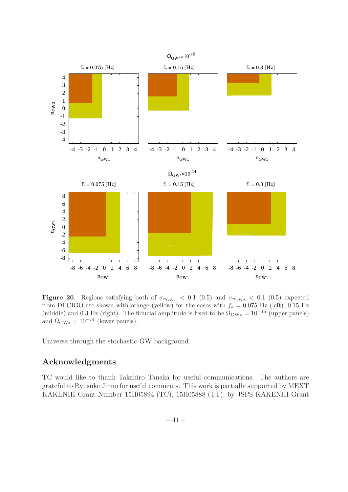

<span id="page-41-0"></span>Figure 20. Regions satisfying both of  $\sigma_{n_{\text{GW1}}}$  < 0.1 (0.5) and  $\sigma_{n_{\text{GW2}}}$  < 0.1 (0.5) expected from DECIGO are shown with orange (yellow) for the cases with  $f_* = 0.075$  Hz (left), 0.15 Hz (middle) and 0.3 Hz (right). The fiducial amplitude is fixed to be  $\Omega_{\rm GW*} = 10^{-15}$  (upper panels) and  $\Omega_{\rm GW*} = 10^{-14}$  (lower panels).

Universe through the stochastic GW background.

# Acknowledgments

TC would like to thank Takahiro Tanaka for useful communications. The authors are grateful to Ryusuke Jinno for useful comments. This work is partially supported by MEXT KAKENHI Grant Number 15H05894 (TC), 15H05888 (TT), by JSPS KAKENHI Grant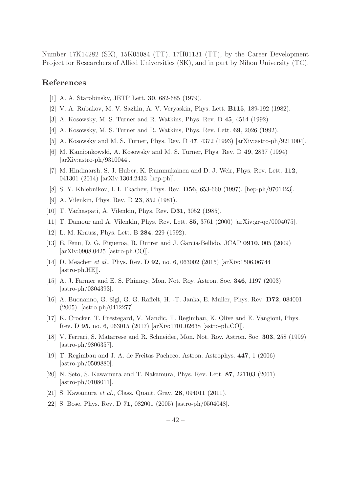Number 17K14282 (SK), 15K05084 (TT), 17H01131 (TT), by the Career Development Project for Researchers of Allied Universities (SK), and in part by Nihon University (TC).

# References

- <span id="page-42-0"></span>[1] A. A. Starobinsky, JETP Lett. 30, 682-685 (1979).
- <span id="page-42-1"></span>[2] V. A. Rubakov, M. V. Sazhin, A. V. Veryaskin, Phys. Lett. B115, 189-192 (1982).
- <span id="page-42-2"></span>[3] A. Kosowsky, M. S. Turner and R. Watkins, Phys. Rev. D 45, 4514 (1992)
- <span id="page-42-16"></span>[4] A. Kosowsky, M. S. Turner and R. Watkins, Phys. Rev. Lett. 69, 2026 (1992).
- <span id="page-42-17"></span>[5] A. Kosowsky and M. S. Turner, Phys. Rev. D 47, 4372 (1993) [arXiv:astro-ph/9211004].
- <span id="page-42-18"></span>[6] M. Kamionkowski, A. Kosowsky and M. S. Turner, Phys. Rev. D 49, 2837 (1994) [arXiv:astro-ph/9310044].
- <span id="page-42-3"></span>[7] M. Hindmarsh, S. J. Huber, K. Rummukainen and D. J. Weir, Phys. Rev. Lett. 112, 041301 (2014) [arXiv:1304.2433 [hep-ph]].
- <span id="page-42-4"></span>[8] S. Y. Khlebnikov, I. I. Tkachev, Phys. Rev. D56, 653-660 (1997). [hep-ph/9701423].
- <span id="page-42-5"></span>[9] A. Vilenkin, Phys. Rev. D 23, 852 (1981).
- <span id="page-42-19"></span>[10] T. Vachaspati, A. Vilenkin, Phys. Rev. D31, 3052 (1985).
- <span id="page-42-20"></span>[11] T. Damour and A. Vilenkin, Phys. Rev. Lett. 85, 3761 (2000) [arXiv:gr-qc/0004075].
- <span id="page-42-21"></span>[12] L. M. Krauss, Phys. Lett. B **284**, 229 (1992).
- <span id="page-42-6"></span>[13] E. Fenu, D. G. Figueroa, R. Durrer and J. Garcia-Bellido, JCAP 0910, 005 (2009) [arXiv:0908.0425 [astro-ph.CO]].
- <span id="page-42-7"></span>[14] D. Meacher et al., Phys. Rev. D 92, no. 6, 063002 (2015) [arXiv:1506.06744 [astro-ph.HE]].
- <span id="page-42-8"></span>[15] A. J. Farmer and E. S. Phinney, Mon. Not. Roy. Astron. Soc. 346, 1197 (2003) [astro-ph/0304393].
- <span id="page-42-9"></span>[16] A. Buonanno, G. Sigl, G. G. Raffelt, H. -T. Janka, E. Muller, Phys. Rev. D72, 084001 (2005). [astro-ph/0412277].
- <span id="page-42-10"></span>[17] K. Crocker, T. Prestegard, V. Mandic, T. Regimbau, K. Olive and E. Vangioni, Phys. Rev. D 95, no. 6, 063015 (2017) [arXiv:1701.02638 [astro-ph.CO]].
- <span id="page-42-11"></span>[18] V. Ferrari, S. Matarrese and R. Schneider, Mon. Not. Roy. Astron. Soc. 303, 258 (1999) [astro-ph/9806357].
- <span id="page-42-12"></span>[19] T. Regimbau and J. A. de Freitas Pacheco, Astron. Astrophys. 447, 1 (2006) [astro-ph/0509880].
- <span id="page-42-13"></span>[20] N. Seto, S. Kawamura and T. Nakamura, Phys. Rev. Lett. 87, 221103 (2001)  $[astro-ph/0108011]$ .
- <span id="page-42-14"></span>[21] S. Kawamura *et al.*, Class. Quant. Grav. **28**, 094011 (2011).
- <span id="page-42-15"></span>[22] S. Bose, Phys. Rev. D 71, 082001 (2005) [astro-ph/0504048].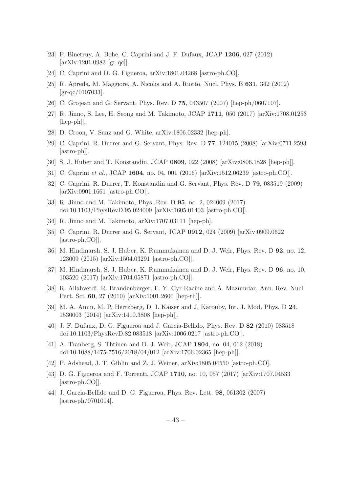- <span id="page-43-0"></span>[23] P. Binetruy, A. Bohe, C. Caprini and J. F. Dufaux, JCAP 1206, 027 (2012) [arXiv:1201.0983 [gr-qc]].
- <span id="page-43-1"></span>[24] C. Caprini and D. G. Figueroa, arXiv:1801.04268 [astro-ph.CO].
- <span id="page-43-2"></span>[25] R. Apreda, M. Maggiore, A. Nicolis and A. Riotto, Nucl. Phys. B 631, 342 (2002) [gr-qc/0107033].
- <span id="page-43-3"></span>[26] C. Grojean and G. Servant, Phys. Rev. D 75, 043507 (2007) [hep-ph/0607107].
- <span id="page-43-6"></span>[27] R. Jinno, S. Lee, H. Seong and M. Takimoto, JCAP 1711, 050 (2017) [arXiv:1708.01253 [hep-ph]].
- <span id="page-43-7"></span>[28] D. Croon, V. Sanz and G. White, arXiv:1806.02332 [hep-ph].
- <span id="page-43-4"></span>[29] C. Caprini, R. Durrer and G. Servant, Phys. Rev. D 77, 124015 (2008) [arXiv:0711.2593 [astro-ph]].
- [30] S. J. Huber and T. Konstandin, JCAP 0809, 022 (2008) [arXiv:0806.1828 [hep-ph]].
- <span id="page-43-5"></span>[31] C. Caprini et al., JCAP 1604, no. 04, 001 (2016) [arXiv:1512.06239 [astro-ph.CO]].
- <span id="page-43-8"></span>[32] C. Caprini, R. Durrer, T. Konstandin and G. Servant, Phys. Rev. D 79, 083519 (2009) [arXiv:0901.1661 [astro-ph.CO]].
- [33] R. Jinno and M. Takimoto, Phys. Rev. D 95, no. 2, 024009 (2017) doi:10.1103/PhysRevD.95.024009 [arXiv:1605.01403 [astro-ph.CO]].
- <span id="page-43-9"></span>[34] R. Jinno and M. Takimoto, arXiv:1707.03111 [hep-ph].
- <span id="page-43-10"></span>[35] C. Caprini, R. Durrer and G. Servant, JCAP 0912, 024 (2009) [arXiv:0909.0622 [astro-ph.CO]].
- <span id="page-43-11"></span>[36] M. Hindmarsh, S. J. Huber, K. Rummukainen and D. J. Weir, Phys. Rev. D 92, no. 12, 123009 (2015) [arXiv:1504.03291 [astro-ph.CO]].
- <span id="page-43-12"></span>[37] M. Hindmarsh, S. J. Huber, K. Rummukainen and D. J. Weir, Phys. Rev. D 96, no. 10, 103520 (2017) [arXiv:1704.05871 [astro-ph.CO]].
- <span id="page-43-13"></span>[38] R. Allahverdi, R. Brandenberger, F. Y. Cyr-Racine and A. Mazumdar, Ann. Rev. Nucl. Part. Sci. 60, 27 (2010) [arXiv:1001.2600 [hep-th]].
- <span id="page-43-14"></span>[39] M. A. Amin, M. P. Hertzberg, D. I. Kaiser and J. Karouby, Int. J. Mod. Phys. D 24, 1530003 (2014) [arXiv:1410.3808 [hep-ph]].
- <span id="page-43-15"></span>[40] J. F. Dufaux, D. G. Figueroa and J. Garcia-Bellido, Phys. Rev. D 82 (2010) 083518 doi:10.1103/PhysRevD.82.083518 [arXiv:1006.0217 [astro-ph.CO]].
- [41] A. Tranberg, S. Thtinen and D. J. Weir, JCAP 1804, no. 04, 012 (2018) doi:10.1088/1475-7516/2018/04/012 [arXiv:1706.02365 [hep-ph]].
- <span id="page-43-16"></span>[42] P. Adshead, J. T. Giblin and Z. J. Weiner, arXiv:1805.04550 [astro-ph.CO].
- <span id="page-43-17"></span>[43] D. G. Figueroa and F. Torrenti, JCAP 1710, no. 10, 057 (2017) [arXiv:1707.04533 [astro-ph.CO]].
- <span id="page-43-18"></span>[44] J. Garcia-Bellido and D. G. Figueroa, Phys. Rev. Lett. **98**, 061302 (2007) [astro-ph/0701014].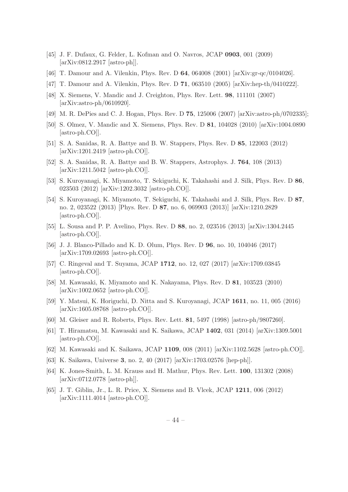- <span id="page-44-0"></span>[45] J. F. Dufaux, G. Felder, L. Kofman and O. Navros, JCAP 0903, 001 (2009) [arXiv:0812.2917 [astro-ph]].
- <span id="page-44-1"></span>[46] T. Damour and A. Vilenkin, Phys. Rev. D 64, 064008 (2001) [arXiv:gr-qc/0104026].
- [47] T. Damour and A. Vilenkin, Phys. Rev. D 71, 063510 (2005) [arXiv:hep-th/0410222].
- [48] X. Siemens, V. Mandic and J. Creighton, Phys. Rev. Lett. 98, 111101 (2007) [arXiv:astro-ph/0610920].
- [49] M. R. DePies and C. J. Hogan, Phys. Rev. D **75**, 125006 (2007) [arXiv:astro-ph/0702335];
- [50] S. Olmez, V. Mandic and X. Siemens, Phys. Rev. D 81, 104028 (2010) [arXiv:1004.0890 [astro-ph.CO]].
- [51] S. A. Sanidas, R. A. Battye and B. W. Stappers, Phys. Rev. D 85, 122003 (2012) [arXiv:1201.2419 [astro-ph.CO]].
- [52] S. A. Sanidas, R. A. Battye and B. W. Stappers, Astrophys. J. 764, 108 (2013) [arXiv:1211.5042 [astro-ph.CO]].
- [53] S. Kuroyanagi, K. Miyamoto, T. Sekiguchi, K. Takahashi and J. Silk, Phys. Rev. D 86, 023503 (2012) [arXiv:1202.3032 [astro-ph.CO]].
- [54] S. Kuroyanagi, K. Miyamoto, T. Sekiguchi, K. Takahashi and J. Silk, Phys. Rev. D 87, no. 2, 023522 (2013) [Phys. Rev. D 87, no. 6, 069903 (2013)] [arXiv:1210.2829 [astro-ph.CO]].
- [55] L. Sousa and P. P. Avelino, Phys. Rev. D 88, no. 2, 023516 (2013) [arXiv:1304.2445 [astro-ph.CO]].
- [56] J. J. Blanco-Pillado and K. D. Olum, Phys. Rev. D 96, no. 10, 104046 (2017) [arXiv:1709.02693 [astro-ph.CO]].
- <span id="page-44-2"></span>[57] C. Ringeval and T. Suyama, JCAP 1712, no. 12, 027 (2017) [arXiv:1709.03845 [astro-ph.CO]].
- <span id="page-44-3"></span>[58] M. Kawasaki, K. Miyamoto and K. Nakayama, Phys. Rev. D 81, 103523 (2010) [arXiv:1002.0652 [astro-ph.CO]].
- <span id="page-44-4"></span>[59] Y. Matsui, K. Horiguchi, D. Nitta and S. Kuroyanagi, JCAP 1611, no. 11, 005 (2016) [arXiv:1605.08768 [astro-ph.CO]].
- <span id="page-44-5"></span>[60] M. Gleiser and R. Roberts, Phys. Rev. Lett. 81, 5497 (1998) [astro-ph/9807260].
- <span id="page-44-7"></span>[61] T. Hiramatsu, M. Kawasaki and K. Saikawa, JCAP 1402, 031 (2014) [arXiv:1309.5001 [astro-ph.CO]].
- [62] M. Kawasaki and K. Saikawa, JCAP 1109, 008 (2011) [arXiv:1102.5628 [astro-ph.CO]].
- <span id="page-44-6"></span>[63] K. Saikawa, Universe 3, no. 2, 40 (2017) [arXiv:1703.02576 [hep-ph]].
- <span id="page-44-8"></span>[64] K. Jones-Smith, L. M. Krauss and H. Mathur, Phys. Rev. Lett. 100, 131302 (2008) [arXiv:0712.0778 [astro-ph]].
- [65] J. T. Giblin, Jr., L. R. Price, X. Siemens and B. Vlcek, JCAP 1211, 006 (2012) [arXiv:1111.4014 [astro-ph.CO]].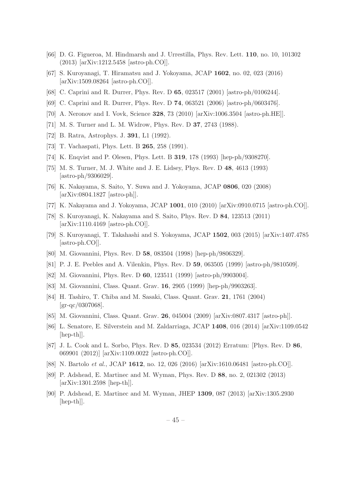- <span id="page-45-0"></span>[66] D. G. Figueroa, M. Hindmarsh and J. Urrestilla, Phys. Rev. Lett. 110, no. 10, 101302 (2013) [arXiv:1212.5458 [astro-ph.CO]].
- <span id="page-45-1"></span>[67] S. Kuroyanagi, T. Hiramatsu and J. Yokoyama, JCAP 1602, no. 02, 023 (2016) [arXiv:1509.08264 [astro-ph.CO]].
- <span id="page-45-2"></span>[68] C. Caprini and R. Durrer, Phys. Rev. D 65, 023517 (2001) [astro-ph/0106244].
- <span id="page-45-3"></span>[69] C. Caprini and R. Durrer, Phys. Rev. D 74, 063521 (2006) [astro-ph/0603476].
- <span id="page-45-4"></span>[70] A. Neronov and I. Vovk, Science 328, 73 (2010) [arXiv:1006.3504 [astro-ph.HE]].
- <span id="page-45-5"></span>[71] M. S. Turner and L. M. Widrow, Phys. Rev. D 37, 2743 (1988).
- <span id="page-45-6"></span>[72] B. Ratra, Astrophys. J. 391, L1 (1992).
- <span id="page-45-7"></span>[73] T. Vachaspati, Phys. Lett. B 265, 258 (1991).
- <span id="page-45-8"></span>[74] K. Enqvist and P. Olesen, Phys. Lett. B 319, 178 (1993) [hep-ph/9308270].
- <span id="page-45-9"></span>[75] M. S. Turner, M. J. White and J. E. Lidsey, Phys. Rev. D 48, 4613 (1993) [astro-ph/9306029].
- <span id="page-45-10"></span>[76] K. Nakayama, S. Saito, Y. Suwa and J. Yokoyama, JCAP 0806, 020 (2008) [arXiv:0804.1827 [astro-ph]].
- [77] K. Nakayama and J. Yokoyama, JCAP 1001, 010 (2010) [arXiv:0910.0715 [astro-ph.CO]].
- [78] S. Kuroyanagi, K. Nakayama and S. Saito, Phys. Rev. D 84, 123513 (2011) [arXiv:1110.4169 [astro-ph.CO]].
- <span id="page-45-11"></span>[79] S. Kuroyanagi, T. Takahashi and S. Yokoyama, JCAP 1502, 003 (2015) [arXiv:1407.4785 [astro-ph.CO]].
- <span id="page-45-12"></span>[80] M. Giovannini, Phys. Rev. D 58, 083504 (1998) [hep-ph/9806329].
- <span id="page-45-14"></span>[81] P. J. E. Peebles and A. Vilenkin, Phys. Rev. D 59, 063505 (1999) [astro-ph/9810509].
- [82] M. Giovannini, Phys. Rev. D 60, 123511 (1999) [astro-ph/9903004].
- [83] M. Giovannini, Class. Quant. Grav. 16, 2905 (1999) [hep-ph/9903263].
- [84] H. Tashiro, T. Chiba and M. Sasaki, Class. Quant. Grav. 21, 1761 (2004) [gr-qc/0307068].
- <span id="page-45-13"></span>[85] M. Giovannini, Class. Quant. Grav. 26, 045004 (2009) [arXiv:0807.4317 [astro-ph]].
- <span id="page-45-15"></span>[86] L. Senatore, E. Silverstein and M. Zaldarriaga, JCAP 1408, 016 (2014) [arXiv:1109.0542 [hep-th]].
- [87] J. L. Cook and L. Sorbo, Phys. Rev. D 85, 023534 (2012) Erratum: [Phys. Rev. D 86, 069901 (2012)] [arXiv:1109.0022 [astro-ph.CO]].
- <span id="page-45-16"></span>[88] N. Bartolo et al., JCAP 1612, no. 12, 026 (2016) [arXiv:1610.06481 [astro-ph.CO]].
- <span id="page-45-17"></span>[89] P. Adshead, E. Martinec and M. Wyman, Phys. Rev. D 88, no. 2, 021302 (2013) [arXiv:1301.2598 [hep-th]].
- [90] P. Adshead, E. Martinec and M. Wyman, JHEP 1309, 087 (2013) [arXiv:1305.2930 [hep-th]].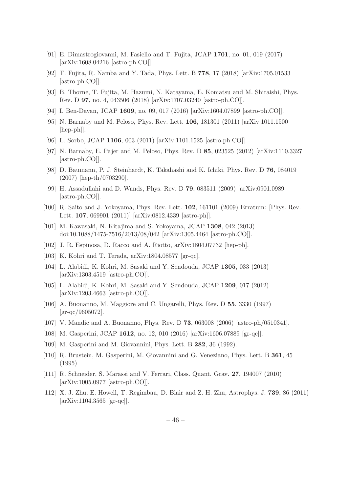- [91] E. Dimastrogiovanni, M. Fasiello and T. Fujita, JCAP 1701, no. 01, 019 (2017) [arXiv:1608.04216 [astro-ph.CO]].
- [92] T. Fujita, R. Namba and Y. Tada, Phys. Lett. B 778, 17 (2018) [arXiv:1705.01533 [astro-ph.CO]].
- <span id="page-46-2"></span>[93] B. Thorne, T. Fujita, M. Hazumi, N. Katayama, E. Komatsu and M. Shiraishi, Phys. Rev. D 97, no. 4, 043506 (2018) [arXiv:1707.03240 [astro-ph.CO]].
- <span id="page-46-3"></span>[94] I. Ben-Dayan, JCAP 1609, no. 09, 017 (2016) [arXiv:1604.07899 [astro-ph.CO]].
- <span id="page-46-0"></span>[95] N. Barnaby and M. Peloso, Phys. Rev. Lett. 106, 181301 (2011) [arXiv:1011.1500 [hep-ph]].
- <span id="page-46-1"></span>[96] L. Sorbo, JCAP 1106, 003 (2011) [arXiv:1101.1525 [astro-ph.CO]].
- <span id="page-46-4"></span>[97] N. Barnaby, E. Pajer and M. Peloso, Phys. Rev. D 85, 023525 (2012) [arXiv:1110.3327 [astro-ph.CO]].
- <span id="page-46-5"></span>[98] D. Baumann, P. J. Steinhardt, K. Takahashi and K. Ichiki, Phys. Rev. D 76, 084019 (2007) [hep-th/0703290].
- <span id="page-46-6"></span>[99] H. Assadullahi and D. Wands, Phys. Rev. D 79, 083511 (2009) [arXiv:0901.0989 [astro-ph.CO]].
- <span id="page-46-7"></span>[100] R. Saito and J. Yokoyama, Phys. Rev. Lett. 102, 161101 (2009) Erratum: [Phys. Rev. Lett. 107, 069901 (2011)] [arXiv:0812.4339 [astro-ph]].
- <span id="page-46-8"></span>[101] M. Kawasaki, N. Kitajima and S. Yokoyama, JCAP 1308, 042 (2013) doi:10.1088/1475-7516/2013/08/042 [arXiv:1305.4464 [astro-ph.CO]].
- <span id="page-46-9"></span>[102] J. R. Espinosa, D. Racco and A. Riotto, arXiv:1804.07732 [hep-ph].
- <span id="page-46-10"></span>[103] K. Kohri and T. Terada, arXiv:1804.08577 [gr-qc].
- <span id="page-46-11"></span>[104] L. Alabidi, K. Kohri, M. Sasaki and Y. Sendouda, JCAP 1305, 033 (2013) [arXiv:1303.4519 [astro-ph.CO]].
- <span id="page-46-12"></span>[105] L. Alabidi, K. Kohri, M. Sasaki and Y. Sendouda, JCAP 1209, 017 (2012) [arXiv:1203.4663 [astro-ph.CO]].
- <span id="page-46-13"></span>[106] A. Buonanno, M. Maggiore and C. Ungarelli, Phys. Rev. D 55, 3330 (1997) [gr-qc/9605072].
- <span id="page-46-14"></span>[107] V. Mandic and A. Buonanno, Phys. Rev. D 73, 063008 (2006) [astro-ph/0510341].
- <span id="page-46-17"></span>[108] M. Gasperini, JCAP 1612, no. 12, 010 (2016) [arXiv:1606.07889 [gr-qc]].
- <span id="page-46-15"></span>[109] M. Gasperini and M. Giovannini, Phys. Lett. B 282, 36 (1992).
- <span id="page-46-16"></span>[110] R. Brustein, M. Gasperini, M. Giovannini and G. Veneziano, Phys. Lett. B 361, 45 (1995)
- <span id="page-46-18"></span>[111] R. Schneider, S. Marassi and V. Ferrari, Class. Quant. Grav. 27, 194007 (2010) [arXiv:1005.0977 [astro-ph.CO]].
- <span id="page-46-19"></span>[112] X. J. Zhu, E. Howell, T. Regimbau, D. Blair and Z. H. Zhu, Astrophys. J. 739, 86 (2011) [arXiv:1104.3565 [gr-qc]].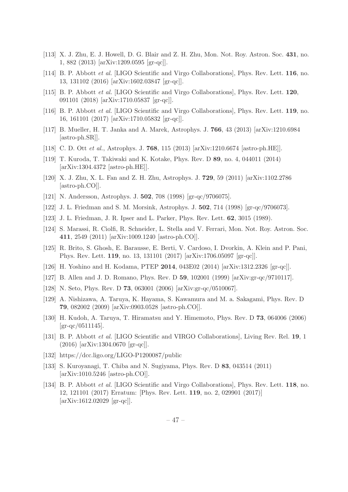- [113] X. J. Zhu, E. J. Howell, D. G. Blair and Z. H. Zhu, Mon. Not. Roy. Astron. Soc. 431, no. 1, 882 (2013) [arXiv:1209.0595 [gr-qc]].
- <span id="page-47-2"></span>[114] B. P. Abbott et al. [LIGO Scientific and Virgo Collaborations], Phys. Rev. Lett. 116, no. 13, 131102 (2016) [arXiv:1602.03847 [gr-qc]].
- <span id="page-47-0"></span>[115] B. P. Abbott et al. [LIGO Scientific and Virgo Collaborations], Phys. Rev. Lett. 120, 091101 (2018) [arXiv:1710.05837 [gr-qc]].
- <span id="page-47-1"></span>[116] B. P. Abbott et al. [LIGO Scientific and Virgo Collaborations], Phys. Rev. Lett. 119, no. 16, 161101 (2017) [arXiv:1710.05832 [gr-qc]].
- <span id="page-47-3"></span>[117] B. Mueller, H. T. Janka and A. Marek, Astrophys. J. 766, 43 (2013) [arXiv:1210.6984 [astro-ph.SR]].
- <span id="page-47-4"></span>[118] C. D. Ott et al., Astrophys. J. 768, 115 (2013) [arXiv:1210.6674 [astro-ph.HE]].
- <span id="page-47-5"></span>[119] T. Kuroda, T. Takiwaki and K. Kotake, Phys. Rev. D 89, no. 4, 044011 (2014) [arXiv:1304.4372 [astro-ph.HE]].
- <span id="page-47-6"></span>[120] X. J. Zhu, X. L. Fan and Z. H. Zhu, Astrophys. J. 729, 59 (2011) [arXiv:1102.2786 [astro-ph.CO]].
- <span id="page-47-7"></span>[121] N. Andersson, Astrophys. J. 502, 708 (1998) [gr-qc/9706075].
- <span id="page-47-8"></span>[122] J. L. Friedman and S. M. Morsink, Astrophys. J. 502, 714 (1998) [gr-qc/9706073].
- <span id="page-47-9"></span>[123] J. L. Friedman, J. R. Ipser and L. Parker, Phys. Rev. Lett. 62, 3015 (1989).
- <span id="page-47-10"></span>[124] S. Marassi, R. Ciolfi, R. Schneider, L. Stella and V. Ferrari, Mon. Not. Roy. Astron. Soc. 411, 2549 (2011) [arXiv:1009.1240 [astro-ph.CO]].
- <span id="page-47-11"></span>[125] R. Brito, S. Ghosh, E. Barausse, E. Berti, V. Cardoso, I. Dvorkin, A. Klein and P. Pani, Phys. Rev. Lett. 119, no. 13, 131101 (2017) [arXiv:1706.05097 [gr-qc]].
- <span id="page-47-12"></span>[126] H. Yoshino and H. Kodama, PTEP 2014, 043E02 (2014) [arXiv:1312.2326 [gr-qc]].
- <span id="page-47-13"></span>[127] B. Allen and J. D. Romano, Phys. Rev. D 59, 102001 (1999) [arXiv:gr-qc/9710117].
- <span id="page-47-14"></span>[128] N. Seto, Phys. Rev. D 73, 063001 (2006) [arXiv:gr-qc/0510067].
- <span id="page-47-15"></span>[129] A. Nishizawa, A. Taruya, K. Hayama, S. Kawamura and M. a. Sakagami, Phys. Rev. D 79, 082002 (2009) [arXiv:0903.0528 [astro-ph.CO]].
- <span id="page-47-16"></span>[130] H. Kudoh, A. Taruya, T. Hiramatsu and Y. Himemoto, Phys. Rev. D 73, 064006 (2006)  $\rm{[gr\text{-}qc/0511145]}$ .
- <span id="page-47-17"></span>[131] B. P. Abbott *et al.* [LIGO Scientific and VIRGO Collaborations], Living Rev. Rel. 19, 1 (2016) [arXiv:1304.0670 [gr-qc]].
- <span id="page-47-18"></span>[132] https://dcc.ligo.org/LIGO-P1200087/public
- <span id="page-47-19"></span>[133] S. Kuroyanagi, T. Chiba and N. Sugiyama, Phys. Rev. D 83, 043514 (2011) [arXiv:1010.5246 [astro-ph.CO]].
- <span id="page-47-20"></span>[134] B. P. Abbott *et al.* [LIGO Scientific and Virgo Collaborations], Phys. Rev. Lett. **118**, no. 12, 121101 (2017) Erratum: [Phys. Rev. Lett. 119, no. 2, 029901 (2017)] [arXiv:1612.02029 [gr-qc]].